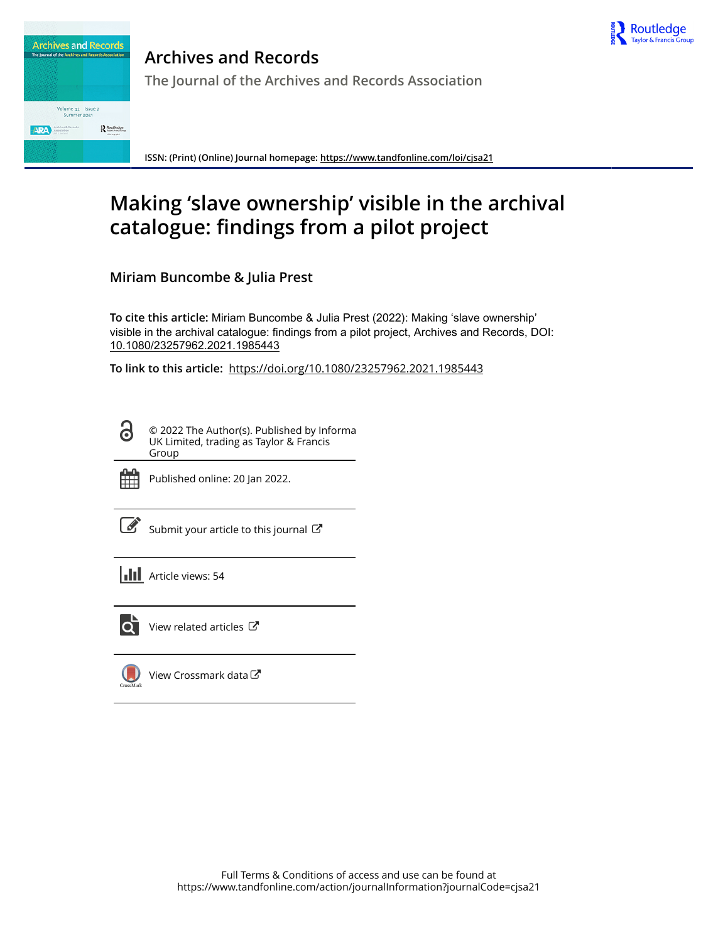



**Archives and Records The Journal of the Archives and Records Association**

**ISSN: (Print) (Online) Journal homepage:<https://www.tandfonline.com/loi/cjsa21>**

# **Making 'slave ownership' visible in the archival catalogue: findings from a pilot project**

**Miriam Buncombe & Julia Prest**

**To cite this article:** Miriam Buncombe & Julia Prest (2022): Making 'slave ownership' visible in the archival catalogue: findings from a pilot project, Archives and Records, DOI: [10.1080/23257962.2021.1985443](https://www.tandfonline.com/action/showCitFormats?doi=10.1080/23257962.2021.1985443)

**To link to this article:** <https://doi.org/10.1080/23257962.2021.1985443>

© 2022 The Author(s). Published by Informa UK Limited, trading as Taylor & Francis Group



ര

Published online: 20 Jan 2022.

[Submit your article to this journal](https://www.tandfonline.com/action/authorSubmission?journalCode=cjsa21&show=instructions)  $\mathbb{Z}$ 

**III** Article views: 54



 $\overline{Q}$  [View related articles](https://www.tandfonline.com/doi/mlt/10.1080/23257962.2021.1985443)  $\overline{C}$ 

[View Crossmark data](http://crossmark.crossref.org/dialog/?doi=10.1080/23257962.2021.1985443&domain=pdf&date_stamp=2022-01-20) $\mathbb{Z}$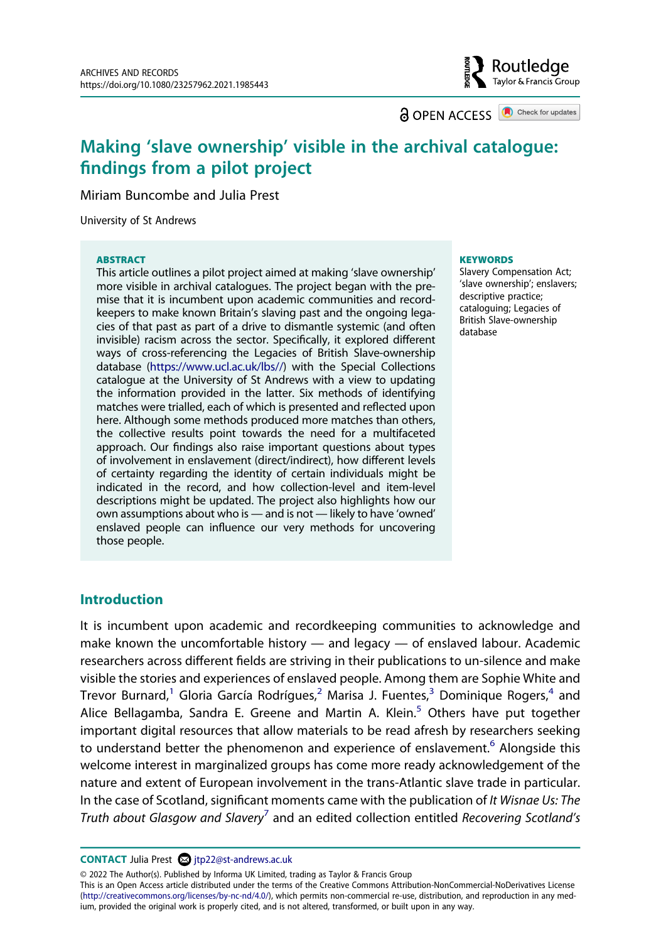**a** OPEN ACCESS **a** Check for updates

Routledae Taylor & Francis Group

# **Making 'slave ownership' visible in the archival catalogue: findings from a pilot project**

Miriam Buncombe and Julia Prest

University of St Andrews

#### **ABSTRACT**

This article outlines a pilot project aimed at making 'slave ownership' more visible in archival catalogues. The project began with the premise that it is incumbent upon academic communities and recordkeepers to make known Britain's slaving past and the ongoing legacies of that past as part of a drive to dismantle systemic (and often invisible) racism across the sector. Specifically, it explored different ways of cross-referencing the Legacies of British Slave-ownership database [\(https://www.ucl.ac.uk/lbs//](https://www.ucl.ac.uk/lbs//)) with the Special Collections catalogue at the University of St Andrews with a view to updating the information provided in the latter. Six methods of identifying matches were trialled, each of which is presented and reflected upon here. Although some methods produced more matches than others, the collective results point towards the need for a multifaceted approach. Our findings also raise important questions about types of involvement in enslavement (direct/indirect), how different levels of certainty regarding the identity of certain individuals might be indicated in the record, and how collection-level and item-level descriptions might be updated. The project also highlights how our own assumptions about who is — and is not — likely to have 'owned' enslaved people can influence our very methods for uncovering those people.

#### **KEYWORDS**

Slavery Compensation Act; 'slave ownership'; enslavers; descriptive practice; cataloguing; Legacies of British Slave-ownership database

# **Introduction**

It is incumbent upon academic and recordkeeping communities to acknowledge and make known the uncomfortable history — and legacy — of enslaved labour. Academic researchers across different fields are striving in their publications to un-silence and make visible the stories and experiences of enslaved people. Among them are Sophie White and Trevor Burnard,<sup>1</sup> Gloria García Rodrígues,<sup>2</sup> Marisa J. Fuentes,<sup>3</sup> Dominique Rogers,<sup>[4](#page-15-3)</sup> and Alice Bellagamba, Sandra E. Greene and Martin A. Klein.<sup>5</sup> Others have put together important digital resources that allow materials to be read afresh by researchers seeking to understand better the phenomenon and experience of enslavement.<sup>6</sup> Alongside this welcome interest in marginalized groups has come more ready acknowledgement of the nature and extent of European involvement in the trans-Atlantic slave trade in particular. In the case of Scotland, significant moments came with the publication of *It Wisnae Us: The Truth about Glasgow and Slavery*[7](#page-15-6) and an edited collection entitled *Recovering Scotland's* 

**CONTACT** Julia Prest 2 jtp22@st-andrews.ac.uk

© 2022 The Author(s). Published by Informa UK Limited, trading as Taylor & Francis Group

This is an Open Access article distributed under the terms of the Creative Commons Attribution-NonCommercial-NoDerivatives License (http://creativecommons.org/licenses/by-nc-nd/4.0/), which permits non-commercial re-use, distribution, and reproduction in any medium, provided the original work is properly cited, and is not altered, transformed, or built upon in any way.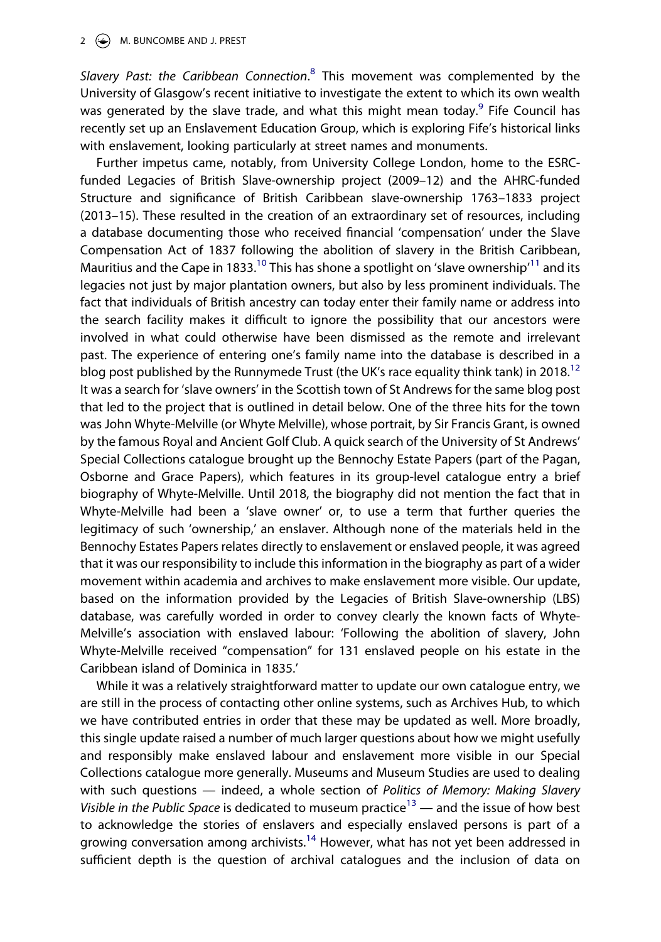Slavery Past: the Caribbean Connection.<sup>[8](#page-15-7)</sup> This movement was complemented by the University of Glasgow's recent initiative to investigate the extent to which its own wealth was generated by the slave trade, and what this might mean today.<sup>9</sup> Fife Council has recently set up an Enslavement Education Group, which is exploring Fife's historical links with enslavement, looking particularly at street names and monuments.

Further impetus came, notably, from University College London, home to the ESRCfunded Legacies of British Slave-ownership project (2009–12) and the AHRC-funded Structure and significance of British Caribbean slave-ownership 1763–1833 project (2013–15). These resulted in the creation of an extraordinary set of resources, including a database documenting those who received financial 'compensation' under the Slave Compensation Act of 1837 following the abolition of slavery in the British Caribbean, Mauritius and the Cape in 1833.<sup>10</sup> This has shone a spotlight on 'slave ownership'<sup>[11](#page-15-10)</sup> and its legacies not just by major plantation owners, but also by less prominent individuals. The fact that individuals of British ancestry can today enter their family name or address into the search facility makes it difficult to ignore the possibility that our ancestors were involved in what could otherwise have been dismissed as the remote and irrelevant past. The experience of entering one's family name into the database is described in a blog post published by the Runnymede Trust (the UK's race equality think tank) in 2018.<sup>12</sup> It was a search for 'slave owners' in the Scottish town of St Andrews for the same blog post that led to the project that is outlined in detail below. One of the three hits for the town was John Whyte-Melville (or Whyte Melville), whose portrait, by Sir Francis Grant, is owned by the famous Royal and Ancient Golf Club. A quick search of the University of St Andrews' Special Collections catalogue brought up the Bennochy Estate Papers (part of the Pagan, Osborne and Grace Papers), which features in its group-level catalogue entry a brief biography of Whyte-Melville. Until 2018, the biography did not mention the fact that in Whyte-Melville had been a 'slave owner' or, to use a term that further queries the legitimacy of such 'ownership,' an enslaver. Although none of the materials held in the Bennochy Estates Papers relates directly to enslavement or enslaved people, it was agreed that it was our responsibility to include this information in the biography as part of a wider movement within academia and archives to make enslavement more visible. Our update, based on the information provided by the Legacies of British Slave-ownership (LBS) database, was carefully worded in order to convey clearly the known facts of Whyte-Melville's association with enslaved labour: 'Following the abolition of slavery, John Whyte-Melville received "compensation" for 131 enslaved people on his estate in the Caribbean island of Dominica in 1835.'

While it was a relatively straightforward matter to update our own catalogue entry, we are still in the process of contacting other online systems, such as Archives Hub, to which we have contributed entries in order that these may be updated as well. More broadly, this single update raised a number of much larger questions about how we might usefully and responsibly make enslaved labour and enslavement more visible in our Special Collections catalogue more generally. Museums and Museum Studies are used to dealing with such questions — indeed, a whole section of *Politics of Memory: Making Slavery Visible in the Public Space* is dedicated to museum practice<sup>13</sup> — and the issue of how best to acknowledge the stories of enslavers and especially enslaved persons is part of a growing conversation among archivists.<sup>[14](#page-15-13)</sup> However, what has not yet been addressed in sufficient depth is the question of archival catalogues and the inclusion of data on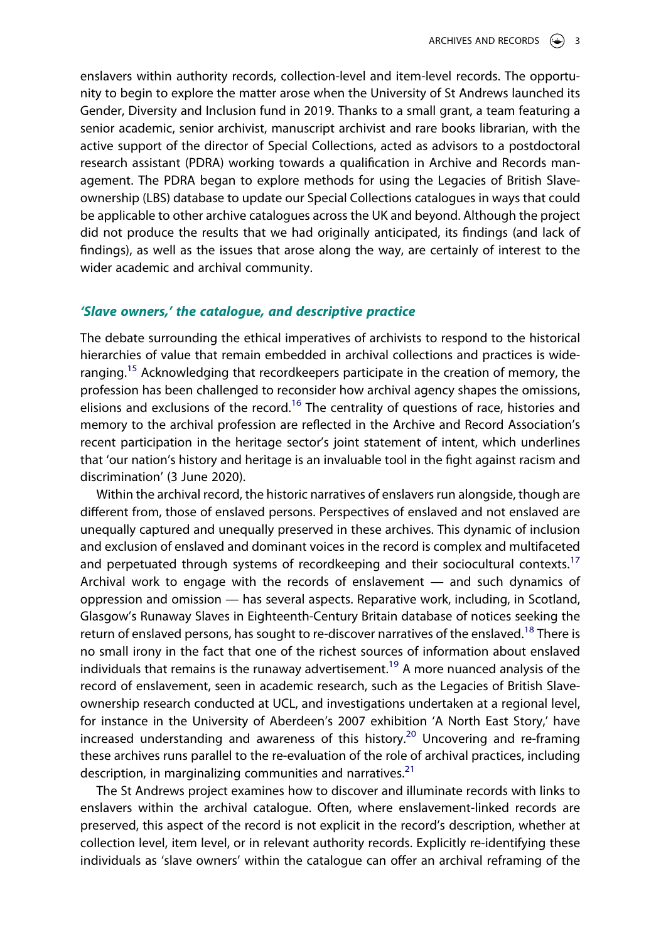enslavers within authority records, collection-level and item-level records. The opportunity to begin to explore the matter arose when the University of St Andrews launched its Gender, Diversity and Inclusion fund in 2019. Thanks to a small grant, a team featuring a senior academic, senior archivist, manuscript archivist and rare books librarian, with the active support of the director of Special Collections, acted as advisors to a postdoctoral research assistant (PDRA) working towards a qualification in Archive and Records management. The PDRA began to explore methods for using the Legacies of British Slaveownership (LBS) database to update our Special Collections catalogues in ways that could be applicable to other archive catalogues across the UK and beyond. Although the project did not produce the results that we had originally anticipated, its findings (and lack of findings), as well as the issues that arose along the way, are certainly of interest to the wider academic and archival community.

# *'Slave owners,' the catalogue, and descriptive practice*

The debate surrounding the ethical imperatives of archivists to respond to the historical hierarchies of value that remain embedded in archival collections and practices is wideranging.<sup>15</sup> Acknowledging that recordkeepers participate in the creation of memory, the profession has been challenged to reconsider how archival agency shapes the omissions, elisions and exclusions of the record.<sup>[16](#page-15-15)</sup> The centrality of questions of race, histories and memory to the archival profession are reflected in the Archive and Record Association's recent participation in the heritage sector's joint statement of intent, which underlines that 'our nation's history and heritage is an invaluable tool in the fight against racism and discrimination' (3 June 2020).

Within the archival record, the historic narratives of enslavers run alongside, though are different from, those of enslaved persons. Perspectives of enslaved and not enslaved are unequally captured and unequally preserved in these archives. This dynamic of inclusion and exclusion of enslaved and dominant voices in the record is complex and multifaceted and perpetuated through systems of recordkeeping and their sociocultural contexts.<sup>[17](#page-15-16)</sup> Archival work to engage with the records of enslavement — and such dynamics of oppression and omission — has several aspects. Reparative work, including, in Scotland, Glasgow's Runaway Slaves in Eighteenth-Century Britain database of notices seeking the return of enslaved persons, has sought to re-discover narratives of the enslaved.<sup>18</sup> There is no small irony in the fact that one of the richest sources of information about enslaved individuals that remains is the runaway advertisement.<sup>19</sup> A more nuanced analysis of the record of enslavement, seen in academic research, such as the Legacies of British Slaveownership research conducted at UCL, and investigations undertaken at a regional level, for instance in the University of Aberdeen's 2007 exhibition 'A North East Story,' have increased understanding and awareness of this history.<sup>20</sup> Uncovering and re-framing these archives runs parallel to the re-evaluation of the role of archival practices, including description, in marginalizing communities and narratives. $21$ 

The St Andrews project examines how to discover and illuminate records with links to enslavers within the archival catalogue. Often, where enslavement-linked records are preserved, this aspect of the record is not explicit in the record's description, whether at collection level, item level, or in relevant authority records. Explicitly re-identifying these individuals as 'slave owners' within the catalogue can offer an archival reframing of the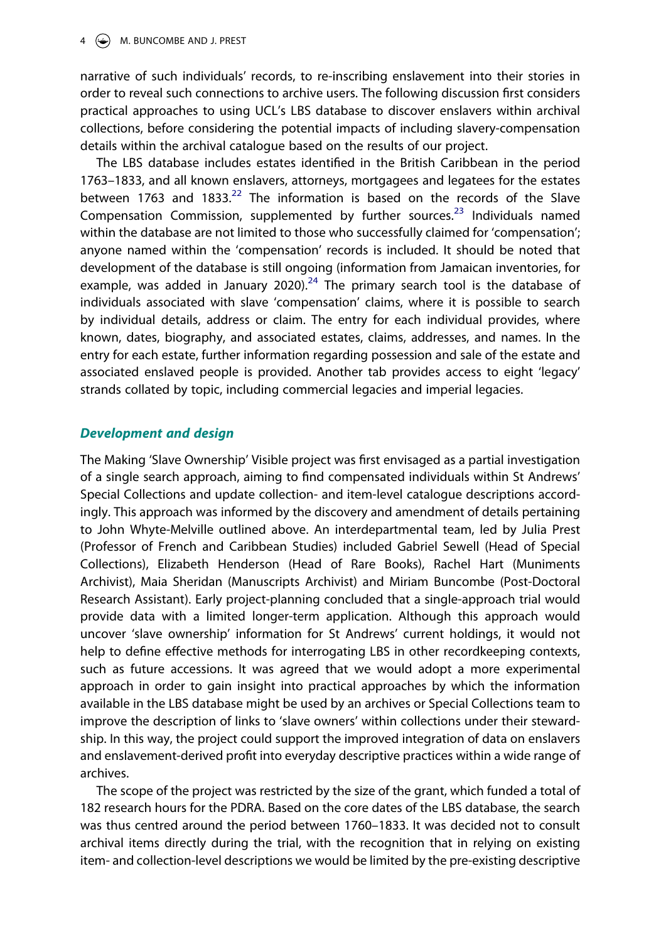## $4 \quad \Leftrightarrow$  M. BUNCOMBE AND J. PREST

narrative of such individuals' records, to re-inscribing enslavement into their stories in order to reveal such connections to archive users. The following discussion first considers practical approaches to using UCL's LBS database to discover enslavers within archival collections, before considering the potential impacts of including slavery-compensation details within the archival catalogue based on the results of our project.

The LBS database includes estates identified in the British Caribbean in the period 1763–1833, and all known enslavers, attorneys, mortgagees and legatees for the estates between 1763 and 1833.<sup>22</sup> The information is based on the records of the Slave Compensation Commission, supplemented by further sources.<sup>23</sup> Individuals named within the database are not limited to those who successfully claimed for 'compensation'; anyone named within the 'compensation' records is included. It should be noted that development of the database is still ongoing (information from Jamaican inventories, for example, was added in January 2020).<sup>24</sup> The primary search tool is the database of individuals associated with slave 'compensation' claims, where it is possible to search by individual details, address or claim. The entry for each individual provides, where known, dates, biography, and associated estates, claims, addresses, and names. In the entry for each estate, further information regarding possession and sale of the estate and associated enslaved people is provided. Another tab provides access to eight 'legacy' strands collated by topic, including commercial legacies and imperial legacies.

# *Development and design*

The Making 'Slave Ownership' Visible project was first envisaged as a partial investigation of a single search approach, aiming to find compensated individuals within St Andrews' Special Collections and update collection- and item-level catalogue descriptions accordingly. This approach was informed by the discovery and amendment of details pertaining to John Whyte-Melville outlined above. An interdepartmental team, led by Julia Prest (Professor of French and Caribbean Studies) included Gabriel Sewell (Head of Special Collections), Elizabeth Henderson (Head of Rare Books), Rachel Hart (Muniments Archivist), Maia Sheridan (Manuscripts Archivist) and Miriam Buncombe (Post-Doctoral Research Assistant). Early project-planning concluded that a single-approach trial would provide data with a limited longer-term application. Although this approach would uncover 'slave ownership' information for St Andrews' current holdings, it would not help to define effective methods for interrogating LBS in other recordkeeping contexts, such as future accessions. It was agreed that we would adopt a more experimental approach in order to gain insight into practical approaches by which the information available in the LBS database might be used by an archives or Special Collections team to improve the description of links to 'slave owners' within collections under their stewardship. In this way, the project could support the improved integration of data on enslavers and enslavement-derived profit into everyday descriptive practices within a wide range of archives.

The scope of the project was restricted by the size of the grant, which funded a total of 182 research hours for the PDRA. Based on the core dates of the LBS database, the search was thus centred around the period between 1760–1833. It was decided not to consult archival items directly during the trial, with the recognition that in relying on existing item- and collection-level descriptions we would be limited by the pre-existing descriptive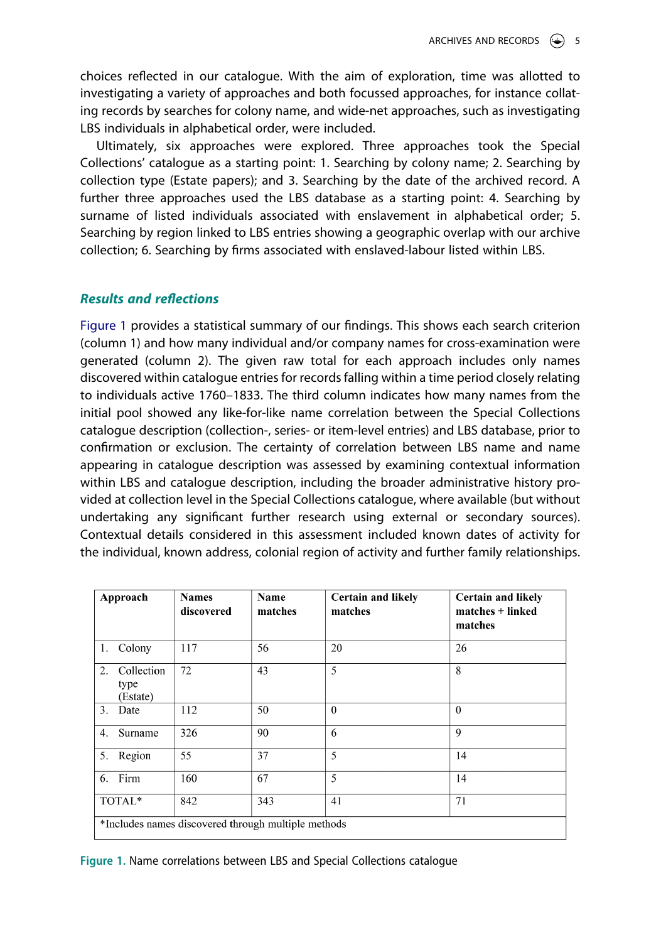choices reflected in our catalogue. With the aim of exploration, time was allotted to investigating a variety of approaches and both focussed approaches, for instance collating records by searches for colony name, and wide-net approaches, such as investigating LBS individuals in alphabetical order, were included.

Ultimately, six approaches were explored. Three approaches took the Special Collections' catalogue as a starting point: 1. Searching by colony name; 2. Searching by collection type (Estate papers); and 3. Searching by the date of the archived record. A further three approaches used the LBS database as a starting point: 4. Searching by surname of listed individuals associated with enslavement in alphabetical order; 5. Searching by region linked to LBS entries showing a geographic overlap with our archive collection; 6. Searching by firms associated with enslaved-labour listed within LBS.

# *Results and reflections*

[Figure 1](#page-5-0) provides a statistical summary of our findings. This shows each search criterion (column 1) and how many individual and/or company names for cross-examination were generated (column 2). The given raw total for each approach includes only names discovered within catalogue entries for records falling within a time period closely relating to individuals active 1760–1833. The third column indicates how many names from the initial pool showed any like-for-like name correlation between the Special Collections catalogue description (collection-, series- or item-level entries) and LBS database, prior to confirmation or exclusion. The certainty of correlation between LBS name and name appearing in catalogue description was assessed by examining contextual information within LBS and catalogue description, including the broader administrative history provided at collection level in the Special Collections catalogue, where available (but without undertaking any significant further research using external or secondary sources). Contextual details considered in this assessment included known dates of activity for the individual, known address, colonial region of activity and further family relationships.

<span id="page-5-0"></span>

| Approach                                            | <b>Names</b><br>discovered | Name<br>matches | <b>Certain and likely</b><br>matches | <b>Certain and likely</b><br>$matches + linked$<br>matches |
|-----------------------------------------------------|----------------------------|-----------------|--------------------------------------|------------------------------------------------------------|
| 1. Colony                                           | 117                        | 56              | 20                                   | 26                                                         |
| Collection<br>2.<br>type<br>(Estate)                | 72                         | 43              | 5                                    | 8                                                          |
| 3.<br>Date                                          | 112                        | 50              | $\Omega$                             | $\Omega$                                                   |
| Surname<br>4.                                       | 326                        | 90              | 6                                    | $\mathbf{Q}$                                               |
| 5. Region                                           | 55                         | 37              | 5                                    | 14                                                         |
| 6. Firm                                             | 160                        | 67              | 5                                    | 14                                                         |
| TOTAL*                                              | 842                        | 343             | 41                                   | 71                                                         |
| *Includes names discovered through multiple methods |                            |                 |                                      |                                                            |

**Figure 1.** Name correlations between LBS and Special Collections catalogue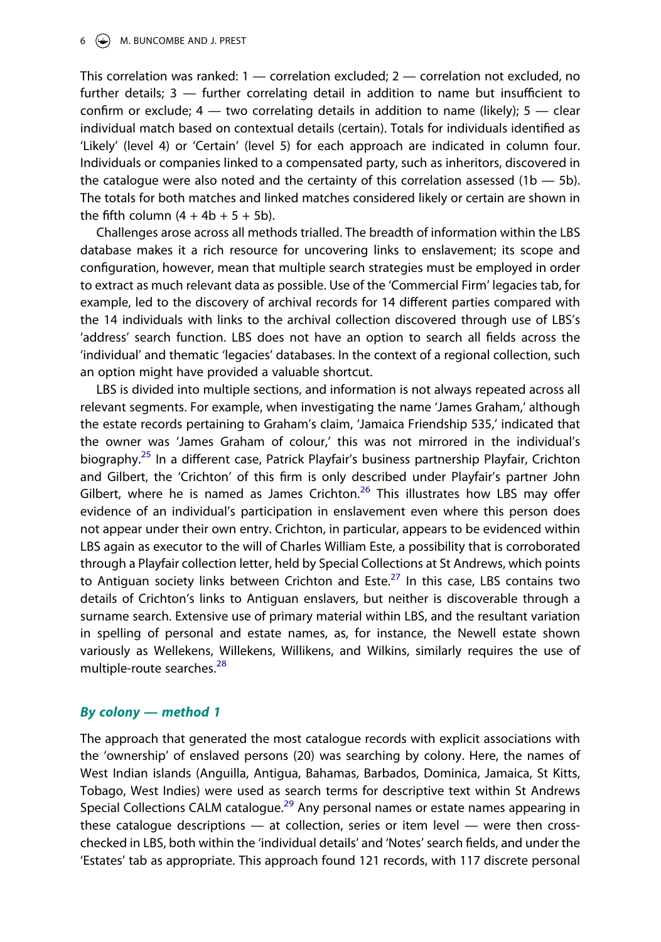This correlation was ranked:  $1$  — correlation excluded;  $2$  — correlation not excluded, no further details; 3 — further correlating detail in addition to name but insufficient to confirm or exclude;  $4 -$  two correlating details in addition to name (likely);  $5 -$  clear individual match based on contextual details (certain). Totals for individuals identified as 'Likely' (level 4) or 'Certain' (level 5) for each approach are indicated in column four. Individuals or companies linked to a compensated party, such as inheritors, discovered in the catalogue were also noted and the certainty of this correlation assessed  $(1b - 5b)$ . The totals for both matches and linked matches considered likely or certain are shown in the fifth column  $(4 + 4b + 5 + 5b)$ .

Challenges arose across all methods trialled. The breadth of information within the LBS database makes it a rich resource for uncovering links to enslavement; its scope and configuration, however, mean that multiple search strategies must be employed in order to extract as much relevant data as possible. Use of the 'Commercial Firm' legacies tab, for example, led to the discovery of archival records for 14 different parties compared with the 14 individuals with links to the archival collection discovered through use of LBS's 'address' search function. LBS does not have an option to search all fields across the 'individual' and thematic 'legacies' databases. In the context of a regional collection, such an option might have provided a valuable shortcut.

LBS is divided into multiple sections, and information is not always repeated across all relevant segments. For example, when investigating the name 'James Graham,' although the estate records pertaining to Graham's claim, 'Jamaica Friendship 535,' indicated that the owner was 'James Graham of colour,' this was not mirrored in the individual's biography.<sup>25</sup> In a different case, Patrick Playfair's business partnership Playfair, Crichton and Gilbert, the 'Crichton' of this firm is only described under Playfair's partner John Gilbert, where he is named as James Crichton.<sup>26</sup> This illustrates how LBS may offer evidence of an individual's participation in enslavement even where this person does not appear under their own entry. Crichton, in particular, appears to be evidenced within LBS again as executor to the will of Charles William Este, a possibility that is corroborated through a Playfair collection letter, held by Special Collections at St Andrews, which points to Antiguan society links between Crichton and Este.<sup>[27](#page-16-2)</sup> In this case, LBS contains two details of Crichton's links to Antiguan enslavers, but neither is discoverable through a surname search. Extensive use of primary material within LBS, and the resultant variation in spelling of personal and estate names, as, for instance, the Newell estate shown variously as Wellekens, Willekens, Willikens, and Wilkins, similarly requires the use of multiple-route searches.<sup>[28](#page-16-3)</sup>

# *By colony — method 1*

The approach that generated the most catalogue records with explicit associations with the 'ownership' of enslaved persons (20) was searching by colony. Here, the names of West Indian islands (Anguilla, Antigua, Bahamas, Barbados, Dominica, Jamaica, St Kitts, Tobago, West Indies) were used as search terms for descriptive text within St Andrews Special Collections CALM catalogue.<sup>[29](#page-16-4)</sup> Any personal names or estate names appearing in these catalogue descriptions — at collection, series or item level — were then crosschecked in LBS, both within the 'individual details' and 'Notes' search fields, and under the 'Estates' tab as appropriate. This approach found 121 records, with 117 discrete personal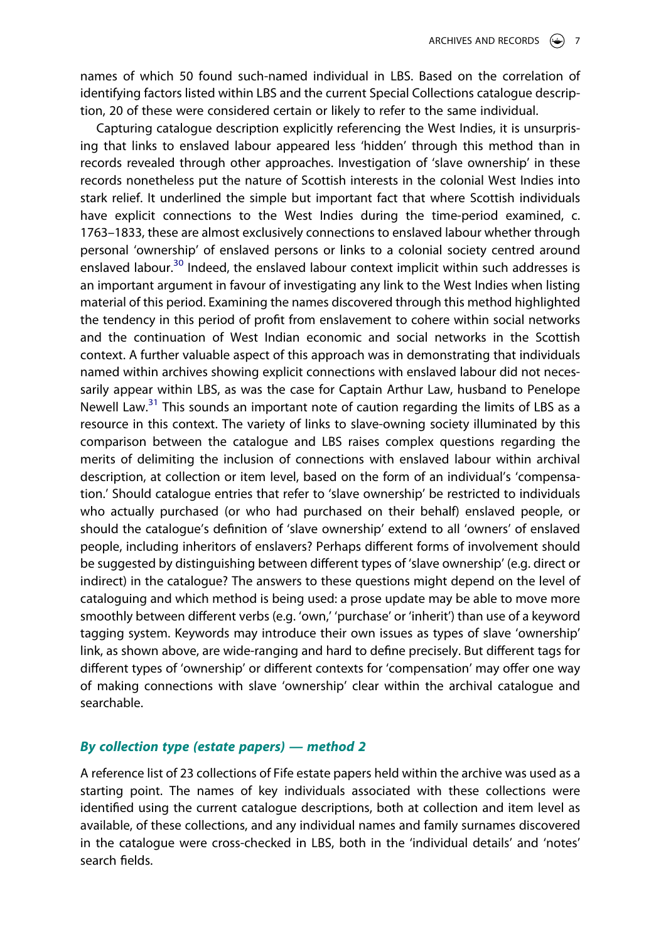names of which 50 found such-named individual in LBS. Based on the correlation of identifying factors listed within LBS and the current Special Collections catalogue description, 20 of these were considered certain or likely to refer to the same individual.

Capturing catalogue description explicitly referencing the West Indies, it is unsurprising that links to enslaved labour appeared less 'hidden' through this method than in records revealed through other approaches. Investigation of 'slave ownership' in these records nonetheless put the nature of Scottish interests in the colonial West Indies into stark relief. It underlined the simple but important fact that where Scottish individuals have explicit connections to the West Indies during the time-period examined, c. 1763–1833, these are almost exclusively connections to enslaved labour whether through personal 'ownership' of enslaved persons or links to a colonial society centred around enslaved labour.<sup>30</sup> Indeed, the enslaved labour context implicit within such addresses is an important argument in favour of investigating any link to the West Indies when listing material of this period. Examining the names discovered through this method highlighted the tendency in this period of profit from enslavement to cohere within social networks and the continuation of West Indian economic and social networks in the Scottish context. A further valuable aspect of this approach was in demonstrating that individuals named within archives showing explicit connections with enslaved labour did not necessarily appear within LBS, as was the case for Captain Arthur Law, husband to Penelope Newell Law. $31$  This sounds an important note of caution regarding the limits of LBS as a resource in this context. The variety of links to slave-owning society illuminated by this comparison between the catalogue and LBS raises complex questions regarding the merits of delimiting the inclusion of connections with enslaved labour within archival description, at collection or item level, based on the form of an individual's 'compensation.' Should catalogue entries that refer to 'slave ownership' be restricted to individuals who actually purchased (or who had purchased on their behalf) enslaved people, or should the catalogue's definition of 'slave ownership' extend to all 'owners' of enslaved people, including inheritors of enslavers? Perhaps different forms of involvement should be suggested by distinguishing between different types of 'slave ownership' (e.g. direct or indirect) in the catalogue? The answers to these questions might depend on the level of cataloguing and which method is being used: a prose update may be able to move more smoothly between different verbs (e.g. 'own,' 'purchase' or 'inherit') than use of a keyword tagging system. Keywords may introduce their own issues as types of slave 'ownership' link, as shown above, are wide-ranging and hard to define precisely. But different tags for different types of 'ownership' or different contexts for 'compensation' may offer one way of making connections with slave 'ownership' clear within the archival catalogue and searchable.

# *By collection type (estate papers) — method 2*

A reference list of 23 collections of Fife estate papers held within the archive was used as a starting point. The names of key individuals associated with these collections were identified using the current catalogue descriptions, both at collection and item level as available, of these collections, and any individual names and family surnames discovered in the catalogue were cross-checked in LBS, both in the 'individual details' and 'notes' search fields.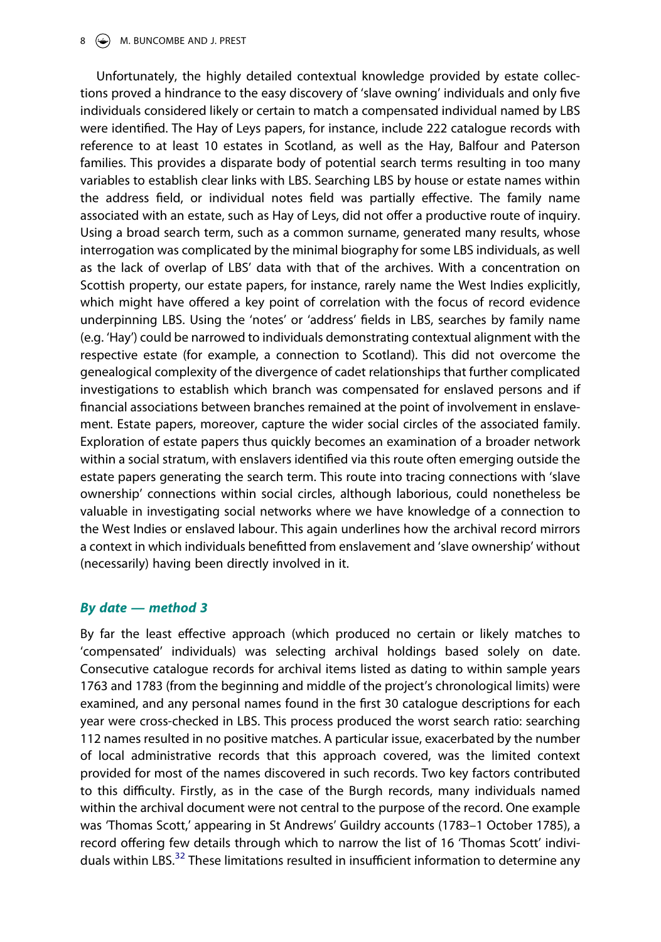## 8  $\bigoplus$  M. BUNCOMBE AND J. PREST

Unfortunately, the highly detailed contextual knowledge provided by estate collections proved a hindrance to the easy discovery of 'slave owning' individuals and only five individuals considered likely or certain to match a compensated individual named by LBS were identified. The Hay of Leys papers, for instance, include 222 catalogue records with reference to at least 10 estates in Scotland, as well as the Hay, Balfour and Paterson families. This provides a disparate body of potential search terms resulting in too many variables to establish clear links with LBS. Searching LBS by house or estate names within the address field, or individual notes field was partially effective. The family name associated with an estate, such as Hay of Leys, did not offer a productive route of inquiry. Using a broad search term, such as a common surname, generated many results, whose interrogation was complicated by the minimal biography for some LBS individuals, as well as the lack of overlap of LBS' data with that of the archives. With a concentration on Scottish property, our estate papers, for instance, rarely name the West Indies explicitly, which might have offered a key point of correlation with the focus of record evidence underpinning LBS. Using the 'notes' or 'address' fields in LBS, searches by family name (e.g. 'Hay') could be narrowed to individuals demonstrating contextual alignment with the respective estate (for example, a connection to Scotland). This did not overcome the genealogical complexity of the divergence of cadet relationships that further complicated investigations to establish which branch was compensated for enslaved persons and if financial associations between branches remained at the point of involvement in enslavement. Estate papers, moreover, capture the wider social circles of the associated family. Exploration of estate papers thus quickly becomes an examination of a broader network within a social stratum, with enslavers identified via this route often emerging outside the estate papers generating the search term. This route into tracing connections with 'slave ownership' connections within social circles, although laborious, could nonetheless be valuable in investigating social networks where we have knowledge of a connection to the West Indies or enslaved labour. This again underlines how the archival record mirrors a context in which individuals benefitted from enslavement and 'slave ownership' without (necessarily) having been directly involved in it.

# *By date — method 3*

By far the least effective approach (which produced no certain or likely matches to 'compensated' individuals) was selecting archival holdings based solely on date. Consecutive catalogue records for archival items listed as dating to within sample years 1763 and 1783 (from the beginning and middle of the project's chronological limits) were examined, and any personal names found in the first 30 catalogue descriptions for each year were cross-checked in LBS. This process produced the worst search ratio: searching 112 names resulted in no positive matches. A particular issue, exacerbated by the number of local administrative records that this approach covered, was the limited context provided for most of the names discovered in such records. Two key factors contributed to this difficulty. Firstly, as in the case of the Burgh records, many individuals named within the archival document were not central to the purpose of the record. One example was 'Thomas Scott,' appearing in St Andrews' Guildry accounts (1783–1 October 1785), a record offering few details through which to narrow the list of 16 'Thomas Scott' indivi-duals within LBS.<sup>[32](#page-16-7)</sup> These limitations resulted in insufficient information to determine any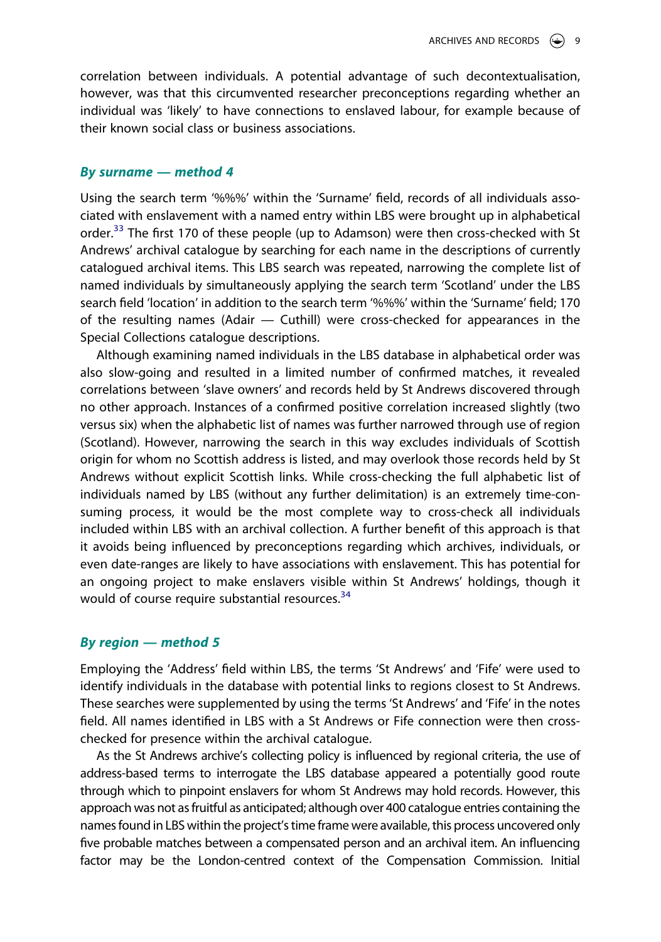correlation between individuals. A potential advantage of such decontextualisation, however, was that this circumvented researcher preconceptions regarding whether an individual was 'likely' to have connections to enslaved labour, for example because of their known social class or business associations.

#### *By surname — method 4*

Using the search term '%%%' within the 'Surname' field, records of all individuals associated with enslavement with a named entry within LBS were brought up in alphabetical order.<sup>[33](#page-16-8)</sup> The first 170 of these people (up to Adamson) were then cross-checked with St Andrews' archival catalogue by searching for each name in the descriptions of currently catalogued archival items. This LBS search was repeated, narrowing the complete list of named individuals by simultaneously applying the search term 'Scotland' under the LBS search field 'location' in addition to the search term '%%%' within the 'Surname' field; 170 of the resulting names (Adair — Cuthill) were cross-checked for appearances in the Special Collections catalogue descriptions.

Although examining named individuals in the LBS database in alphabetical order was also slow-going and resulted in a limited number of confirmed matches, it revealed correlations between 'slave owners' and records held by St Andrews discovered through no other approach. Instances of a confirmed positive correlation increased slightly (two versus six) when the alphabetic list of names was further narrowed through use of region (Scotland). However, narrowing the search in this way excludes individuals of Scottish origin for whom no Scottish address is listed, and may overlook those records held by St Andrews without explicit Scottish links. While cross-checking the full alphabetic list of individuals named by LBS (without any further delimitation) is an extremely time-consuming process, it would be the most complete way to cross-check all individuals included within LBS with an archival collection. A further benefit of this approach is that it avoids being influenced by preconceptions regarding which archives, individuals, or even date-ranges are likely to have associations with enslavement. This has potential for an ongoing project to make enslavers visible within St Andrews' holdings, though it would of course require substantial resources.<sup>[34](#page-16-9)</sup>

# *By region — method 5*

Employing the 'Address' field within LBS, the terms 'St Andrews' and 'Fife' were used to identify individuals in the database with potential links to regions closest to St Andrews. These searches were supplemented by using the terms 'St Andrews' and 'Fife' in the notes field. All names identified in LBS with a St Andrews or Fife connection were then crosschecked for presence within the archival catalogue.

As the St Andrews archive's collecting policy is influenced by regional criteria, the use of address-based terms to interrogate the LBS database appeared a potentially good route through which to pinpoint enslavers for whom St Andrews may hold records. However, this approach was not as fruitful as anticipated; although over 400 catalogue entries containing the names found in LBS within the project's time frame were available, this process uncovered only five probable matches between a compensated person and an archival item. An influencing factor may be the London-centred context of the Compensation Commission. Initial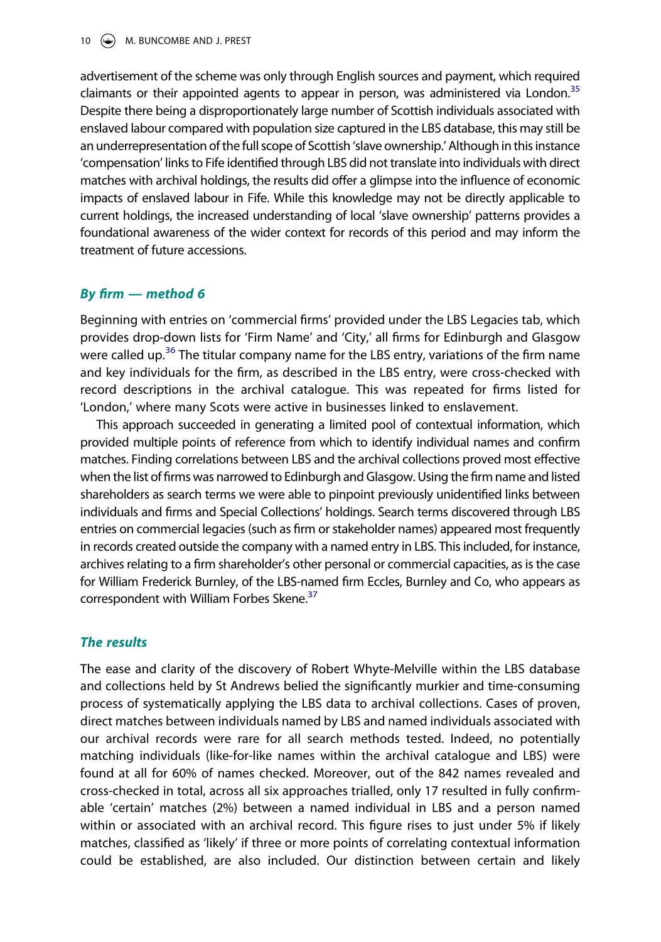advertisement of the scheme was only through English sources and payment, which required claimants or their appointed agents to appear in person, was administered via London.<sup>[35](#page-16-10)</sup> Despite there being a disproportionately large number of Scottish individuals associated with enslaved labour compared with population size captured in the LBS database, this may still be an underrepresentation of the full scope of Scottish 'slave ownership.' Although in this instance 'compensation' links to Fife identified through LBS did not translate into individuals with direct matches with archival holdings, the results did offer a glimpse into the influence of economic impacts of enslaved labour in Fife. While this knowledge may not be directly applicable to current holdings, the increased understanding of local 'slave ownership' patterns provides a foundational awareness of the wider context for records of this period and may inform the treatment of future accessions.

# *By firm — method 6*

Beginning with entries on 'commercial firms' provided under the LBS Legacies tab, which provides drop-down lists for 'Firm Name' and 'City,' all firms for Edinburgh and Glasgow were called up.<sup>36</sup> The titular company name for the LBS entry, variations of the firm name and key individuals for the firm, as described in the LBS entry, were cross-checked with record descriptions in the archival catalogue. This was repeated for firms listed for 'London,' where many Scots were active in businesses linked to enslavement.

This approach succeeded in generating a limited pool of contextual information, which provided multiple points of reference from which to identify individual names and confirm matches. Finding correlations between LBS and the archival collections proved most effective when the list of firms was narrowed to Edinburgh and Glasgow. Using the firm name and listed shareholders as search terms we were able to pinpoint previously unidentified links between individuals and firms and Special Collections' holdings. Search terms discovered through LBS entries on commercial legacies (such as firm or stakeholder names) appeared most frequently in records created outside the company with a named entry in LBS. This included, for instance, archives relating to a firm shareholder's other personal or commercial capacities, as is the case for William Frederick Burnley, of the LBS-named firm Eccles, Burnley and Co, who appears as correspondent with William Forbes Skene.<sup>[37](#page-16-12)</sup>

# *The results*

The ease and clarity of the discovery of Robert Whyte-Melville within the LBS database and collections held by St Andrews belied the significantly murkier and time-consuming process of systematically applying the LBS data to archival collections. Cases of proven, direct matches between individuals named by LBS and named individuals associated with our archival records were rare for all search methods tested. Indeed, no potentially matching individuals (like-for-like names within the archival catalogue and LBS) were found at all for 60% of names checked. Moreover, out of the 842 names revealed and cross-checked in total, across all six approaches trialled, only 17 resulted in fully confirmable 'certain' matches (2%) between a named individual in LBS and a person named within or associated with an archival record. This figure rises to just under 5% if likely matches, classified as 'likely' if three or more points of correlating contextual information could be established, are also included. Our distinction between certain and likely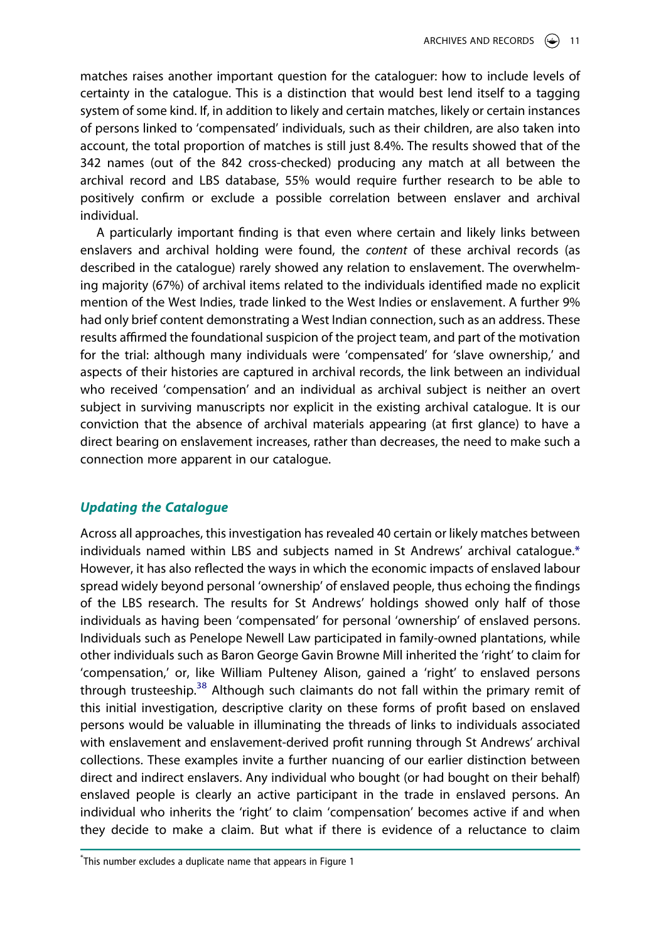matches raises another important question for the cataloguer: how to include levels of certainty in the catalogue. This is a distinction that would best lend itself to a tagging system of some kind. If, in addition to likely and certain matches, likely or certain instances of persons linked to 'compensated' individuals, such as their children, are also taken into account, the total proportion of matches is still just 8.4%. The results showed that of the 342 names (out of the 842 cross-checked) producing any match at all between the archival record and LBS database, 55% would require further research to be able to positively confirm or exclude a possible correlation between enslaver and archival individual.

A particularly important finding is that even where certain and likely links between enslavers and archival holding were found, the *content* of these archival records (as described in the catalogue) rarely showed any relation to enslavement. The overwhelming majority (67%) of archival items related to the individuals identified made no explicit mention of the West Indies, trade linked to the West Indies or enslavement. A further 9% had only brief content demonstrating a West Indian connection, such as an address. These results affirmed the foundational suspicion of the project team, and part of the motivation for the trial: although many individuals were 'compensated' for 'slave ownership,' and aspects of their histories are captured in archival records, the link between an individual who received 'compensation' and an individual as archival subject is neither an overt subject in surviving manuscripts nor explicit in the existing archival catalogue. It is our conviction that the absence of archival materials appearing (at first glance) to have a direct bearing on enslavement increases, rather than decreases, the need to make such a connection more apparent in our catalogue.

# *Updating the Catalogue*

<span id="page-11-0"></span>Across all approaches, this investigation has revealed 40 certain or likely matches between individuals named within LBS and subjects named in St Andrews' archival catalogue[.\\*](#page-11-0) However, it has also reflected the ways in which the economic impacts of enslaved labour spread widely beyond personal 'ownership' of enslaved people, thus echoing the findings of the LBS research. The results for St Andrews' holdings showed only half of those individuals as having been 'compensated' for personal 'ownership' of enslaved persons. Individuals such as Penelope Newell Law participated in family-owned plantations, while other individuals such as Baron George Gavin Browne Mill inherited the 'right' to claim for 'compensation,' or, like William Pulteney Alison, gained a 'right' to enslaved persons through trusteeship.<sup>[38](#page-16-13)</sup> Although such claimants do not fall within the primary remit of this initial investigation, descriptive clarity on these forms of profit based on enslaved persons would be valuable in illuminating the threads of links to individuals associated with enslavement and enslavement-derived profit running through St Andrews' archival collections. These examples invite a further nuancing of our earlier distinction between direct and indirect enslavers. Any individual who bought (or had bought on their behalf) enslaved people is clearly an active participant in the trade in enslaved persons. An individual who inherits the 'right' to claim 'compensation' becomes active if and when they decide to make a claim. But what if there is evidence of a reluctance to claim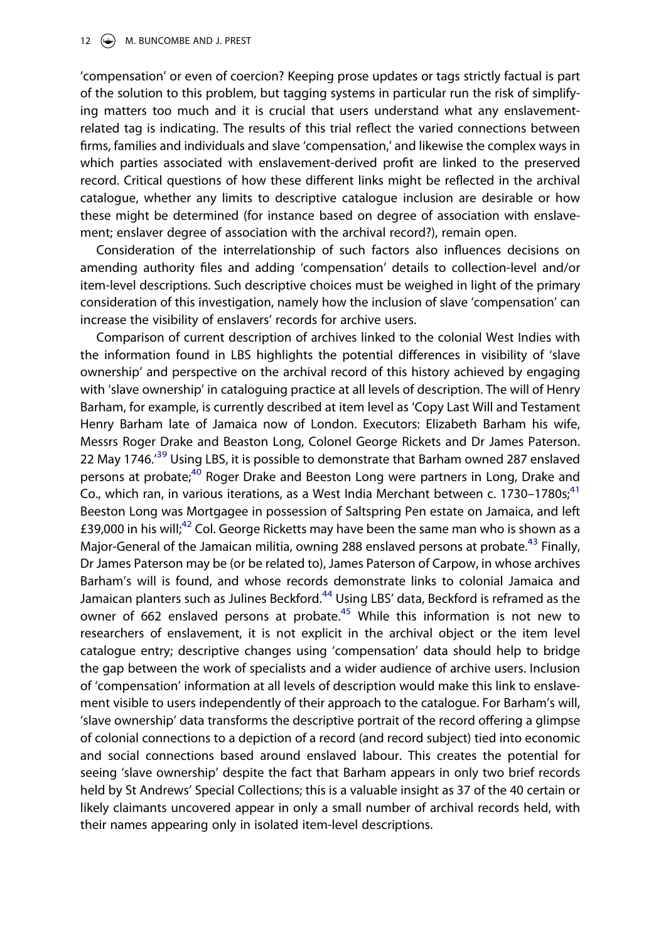'compensation' or even of coercion? Keeping prose updates or tags strictly factual is part of the solution to this problem, but tagging systems in particular run the risk of simplifying matters too much and it is crucial that users understand what any enslavementrelated tag is indicating. The results of this trial reflect the varied connections between firms, families and individuals and slave 'compensation,' and likewise the complex ways in which parties associated with enslavement-derived profit are linked to the preserved record. Critical questions of how these different links might be reflected in the archival catalogue, whether any limits to descriptive catalogue inclusion are desirable or how these might be determined (for instance based on degree of association with enslavement; enslaver degree of association with the archival record?), remain open.

Consideration of the interrelationship of such factors also influences decisions on amending authority files and adding 'compensation' details to collection-level and/or item-level descriptions. Such descriptive choices must be weighed in light of the primary consideration of this investigation, namely how the inclusion of slave 'compensation' can increase the visibility of enslavers' records for archive users.

Comparison of current description of archives linked to the colonial West Indies with the information found in LBS highlights the potential differences in visibility of 'slave ownership' and perspective on the archival record of this history achieved by engaging with 'slave ownership' in cataloguing practice at all levels of description. The will of Henry Barham, for example, is currently described at item level as 'Copy Last Will and Testament Henry Barham late of Jamaica now of London. Executors: Elizabeth Barham his wife, Messrs Roger Drake and Beaston Long, Colonel George Rickets and Dr James Paterson. 22 May 1746.<sup>39</sup> Using LBS, it is possible to demonstrate that Barham owned 287 enslaved persons at probate;<sup>[40](#page-16-15)</sup> Roger Drake and Beeston Long were partners in Long, Drake and Co., which ran, in various iterations, as a West India Merchant between c. 1730–1780s;<sup>41</sup> Beeston Long was Mortgagee in possession of Saltspring Pen estate on Jamaica, and left £39,000 in his will;<sup>[42](#page-16-17)</sup> Col. George Ricketts may have been the same man who is shown as a Major-General of the Jamaican militia, owning 288 enslaved persons at probate.<sup>43</sup> Finally, Dr James Paterson may be (or be related to), James Paterson of Carpow, in whose archives Barham's will is found, and whose records demonstrate links to colonial Jamaica and Jamaican planters such as Julines Beckford.<sup>[44](#page-16-19)</sup> Using LBS' data, Beckford is reframed as the owner of 662 enslaved persons at probate.<sup>45</sup> While this information is not new to researchers of enslavement, it is not explicit in the archival object or the item level catalogue entry; descriptive changes using 'compensation' data should help to bridge the gap between the work of specialists and a wider audience of archive users. Inclusion of 'compensation' information at all levels of description would make this link to enslavement visible to users independently of their approach to the catalogue. For Barham's will, 'slave ownership' data transforms the descriptive portrait of the record offering a glimpse of colonial connections to a depiction of a record (and record subject) tied into economic and social connections based around enslaved labour. This creates the potential for seeing 'slave ownership' despite the fact that Barham appears in only two brief records held by St Andrews' Special Collections; this is a valuable insight as 37 of the 40 certain or likely claimants uncovered appear in only a small number of archival records held, with their names appearing only in isolated item-level descriptions.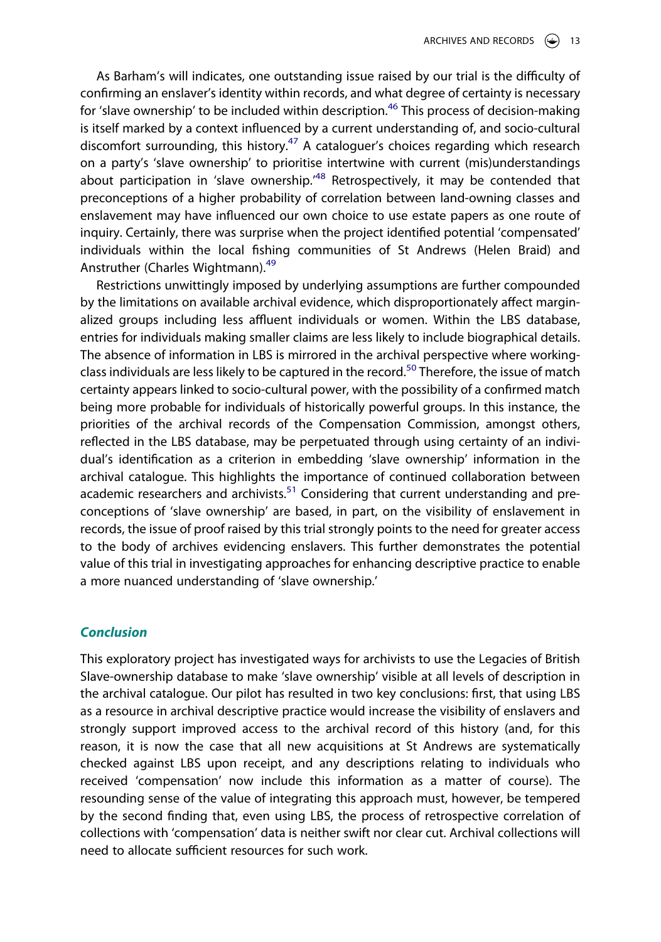As Barham's will indicates, one outstanding issue raised by our trial is the difficulty of confirming an enslaver's identity within records, and what degree of certainty is necessary for 'slave ownership' to be included within description.<sup>[46](#page-16-21)</sup> This process of decision-making is itself marked by a context influenced by a current understanding of, and socio-cultural discomfort surrounding, this history.<sup>47</sup> A cataloguer's choices regarding which research on a party's 'slave ownership' to prioritise intertwine with current (mis)understandings about participation in 'slave ownership.<sup>[48](#page-17-1)</sup> Retrospectively, it may be contended that preconceptions of a higher probability of correlation between land-owning classes and enslavement may have influenced our own choice to use estate papers as one route of inquiry. Certainly, there was surprise when the project identified potential 'compensated' individuals within the local fishing communities of St Andrews (Helen Braid) and Anstruther (Charles Wightmann).[49](#page-17-2)

Restrictions unwittingly imposed by underlying assumptions are further compounded by the limitations on available archival evidence, which disproportionately affect marginalized groups including less affluent individuals or women. Within the LBS database, entries for individuals making smaller claims are less likely to include biographical details. The absence of information in LBS is mirrored in the archival perspective where workingclass individuals are less likely to be captured in the record.<sup>50</sup> Therefore, the issue of match certainty appears linked to socio-cultural power, with the possibility of a confirmed match being more probable for individuals of historically powerful groups. In this instance, the priorities of the archival records of the Compensation Commission, amongst others, reflected in the LBS database, may be perpetuated through using certainty of an individual's identification as a criterion in embedding 'slave ownership' information in the archival catalogue. This highlights the importance of continued collaboration between academic researchers and archivists.<sup>51</sup> Considering that current understanding and preconceptions of 'slave ownership' are based, in part, on the visibility of enslavement in records, the issue of proof raised by this trial strongly points to the need for greater access to the body of archives evidencing enslavers. This further demonstrates the potential value of this trial in investigating approaches for enhancing descriptive practice to enable a more nuanced understanding of 'slave ownership.'

# *Conclusion*

This exploratory project has investigated ways for archivists to use the Legacies of British Slave-ownership database to make 'slave ownership' visible at all levels of description in the archival catalogue. Our pilot has resulted in two key conclusions: first, that using LBS as a resource in archival descriptive practice would increase the visibility of enslavers and strongly support improved access to the archival record of this history (and, for this reason, it is now the case that all new acquisitions at St Andrews are systematically checked against LBS upon receipt, and any descriptions relating to individuals who received 'compensation' now include this information as a matter of course). The resounding sense of the value of integrating this approach must, however, be tempered by the second finding that, even using LBS, the process of retrospective correlation of collections with 'compensation' data is neither swift nor clear cut. Archival collections will need to allocate sufficient resources for such work.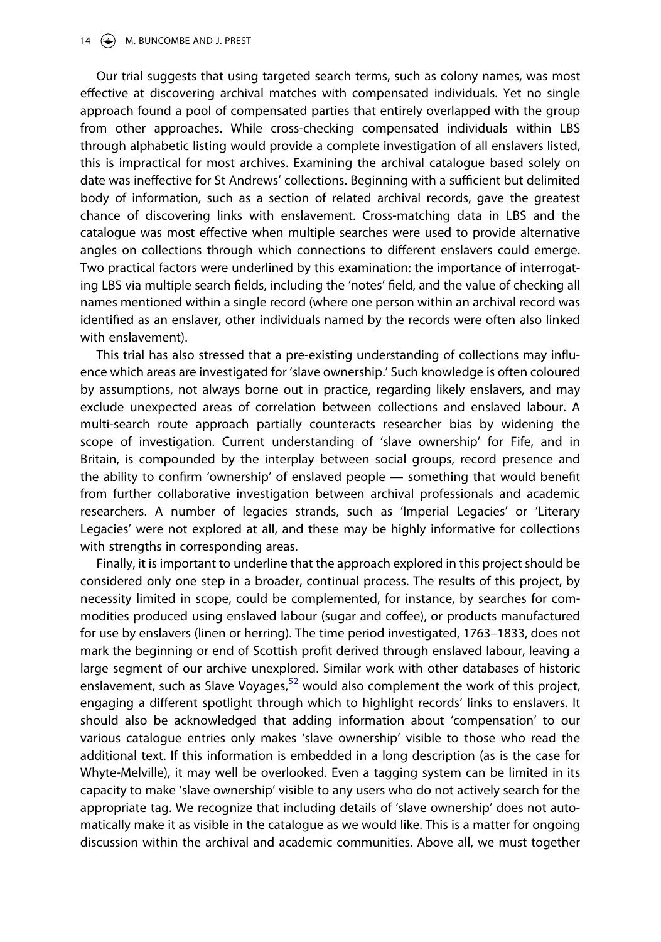Our trial suggests that using targeted search terms, such as colony names, was most effective at discovering archival matches with compensated individuals. Yet no single approach found a pool of compensated parties that entirely overlapped with the group from other approaches. While cross-checking compensated individuals within LBS through alphabetic listing would provide a complete investigation of all enslavers listed, this is impractical for most archives. Examining the archival catalogue based solely on date was ineffective for St Andrews' collections. Beginning with a sufficient but delimited body of information, such as a section of related archival records, gave the greatest chance of discovering links with enslavement. Cross-matching data in LBS and the catalogue was most effective when multiple searches were used to provide alternative angles on collections through which connections to different enslavers could emerge. Two practical factors were underlined by this examination: the importance of interrogating LBS via multiple search fields, including the 'notes' field, and the value of checking all names mentioned within a single record (where one person within an archival record was identified as an enslaver, other individuals named by the records were often also linked with enslavement).

This trial has also stressed that a pre-existing understanding of collections may influence which areas are investigated for 'slave ownership.' Such knowledge is often coloured by assumptions, not always borne out in practice, regarding likely enslavers, and may exclude unexpected areas of correlation between collections and enslaved labour. A multi-search route approach partially counteracts researcher bias by widening the scope of investigation. Current understanding of 'slave ownership' for Fife, and in Britain, is compounded by the interplay between social groups, record presence and the ability to confirm 'ownership' of enslaved people — something that would benefit from further collaborative investigation between archival professionals and academic researchers. A number of legacies strands, such as 'Imperial Legacies' or 'Literary Legacies' were not explored at all, and these may be highly informative for collections with strengths in corresponding areas.

Finally, it is important to underline that the approach explored in this project should be considered only one step in a broader, continual process. The results of this project, by necessity limited in scope, could be complemented, for instance, by searches for commodities produced using enslaved labour (sugar and coffee), or products manufactured for use by enslavers (linen or herring). The time period investigated, 1763–1833, does not mark the beginning or end of Scottish profit derived through enslaved labour, leaving a large segment of our archive unexplored. Similar work with other databases of historic enslavement, such as Slave Voyages, $52$  would also complement the work of this project, engaging a different spotlight through which to highlight records' links to enslavers. It should also be acknowledged that adding information about 'compensation' to our various catalogue entries only makes 'slave ownership' visible to those who read the additional text. If this information is embedded in a long description (as is the case for Whyte-Melville), it may well be overlooked. Even a tagging system can be limited in its capacity to make 'slave ownership' visible to any users who do not actively search for the appropriate tag. We recognize that including details of 'slave ownership' does not automatically make it as visible in the catalogue as we would like. This is a matter for ongoing discussion within the archival and academic communities. Above all, we must together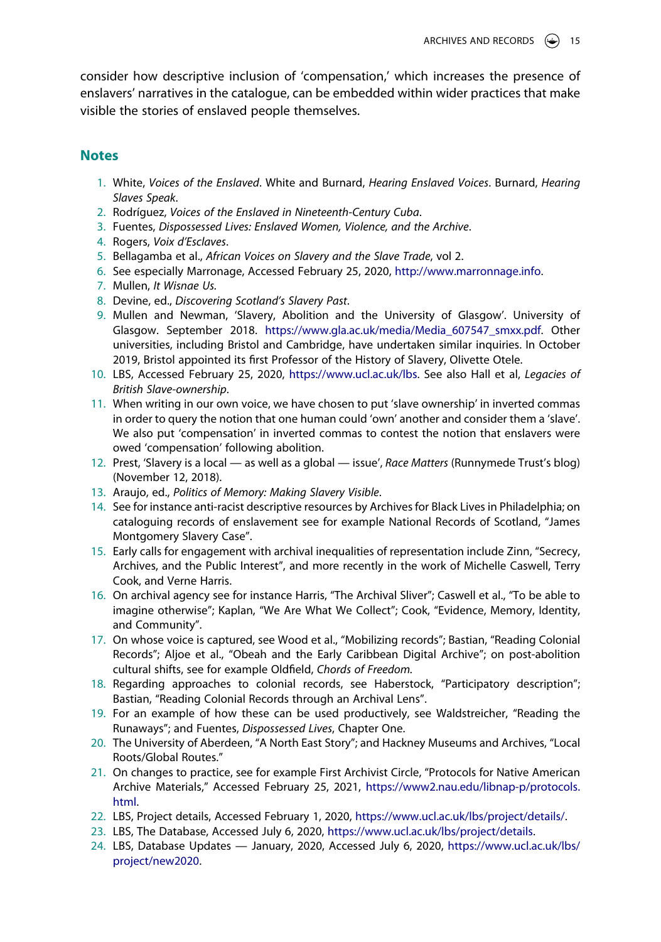consider how descriptive inclusion of 'compensation,' which increases the presence of enslavers' narratives in the catalogue, can be embedded within wider practices that make visible the stories of enslaved people themselves.

# **Notes**

- <span id="page-15-0"></span>1. White, *Voices of the Enslaved*. White and Burnard, *Hearing Enslaved Voices*. Burnard, *Hearing Slaves Speak*.
- <span id="page-15-1"></span>2. Rodríguez, *Voices of the Enslaved in Nineteenth-Century Cuba*.
- <span id="page-15-2"></span>3. Fuentes, *Dispossessed Lives: Enslaved Women, Violence, and the Archive*.
- <span id="page-15-3"></span>4. Rogers, *Voix d'Esclaves*.
- <span id="page-15-4"></span>5. Bellagamba et al., *African Voices on Slavery and the Slave Trade*, vol 2.
- <span id="page-15-5"></span>6. See especially Marronage, Accessed February 25, 2020, [http://www.marronnage.info.](http://www.marronnage.info)
- <span id="page-15-6"></span>7. Mullen, *It Wisnae Us.*
- <span id="page-15-7"></span>8. Devine, ed., *Discovering Scotland's Slavery Past*.
- <span id="page-15-8"></span>9. Mullen and Newman, 'Slavery, Abolition and the University of Glasgow'. University of Glasgow. September 2018. [https://www.gla.ac.uk/media/Media\\_607547\\_smxx.pdf.](https://www.gla.ac.uk/media/Media_607547_smxx.pdf) Other universities, including Bristol and Cambridge, have undertaken similar inquiries. In October 2019, Bristol appointed its first Professor of the History of Slavery, Olivette Otele.
- <span id="page-15-9"></span>10. LBS, Accessed February 25, 2020, [https://www.ucl.ac.uk/lbs.](https://www.ucl.ac.uk/lbs) See also Hall et al, *Legacies of British Slave-ownership*.
- <span id="page-15-10"></span>11. When writing in our own voice, we have chosen to put 'slave ownership' in inverted commas in order to query the notion that one human could 'own' another and consider them a 'slave'. We also put 'compensation' in inverted commas to contest the notion that enslavers were owed 'compensation' following abolition.
- <span id="page-15-11"></span>12. Prest, 'Slavery is a local — as well as a global — issue', *Race Matters* (Runnymede Trust's blog) (November 12, 2018).
- <span id="page-15-12"></span>13. Araujo, ed., *Politics of Memory: Making Slavery Visible*.
- <span id="page-15-13"></span>14. See for instance anti-racist descriptive resources by Archives for Black Lives in Philadelphia; on cataloguing records of enslavement see for example National Records of Scotland, "James Montgomery Slavery Case".
- <span id="page-15-14"></span>15. Early calls for engagement with archival inequalities of representation include Zinn, "Secrecy, Archives, and the Public Interest", and more recently in the work of Michelle Caswell, Terry Cook, and Verne Harris.
- <span id="page-15-15"></span>16. On archival agency see for instance Harris, "The Archival Sliver"; Caswell et al., "To be able to imagine otherwise"; Kaplan, "We Are What We Collect"; Cook, "Evidence, Memory, Identity, and Community".
- <span id="page-15-16"></span>17. On whose voice is captured, see Wood et al., "Mobilizing records"; Bastian, "Reading Colonial Records"; Aljoe et al., "Obeah and the Early Caribbean Digital Archive"; on post-abolition cultural shifts, see for example Oldfield, *Chords of Freedom.*
- <span id="page-15-17"></span>18. Regarding approaches to colonial records, see Haberstock, "Participatory description"; Bastian, "Reading Colonial Records through an Archival Lens".
- <span id="page-15-18"></span>19. For an example of how these can be used productively, see Waldstreicher, "Reading the Runaways"; and Fuentes, *Dispossessed Lives*, Chapter One.
- <span id="page-15-19"></span>20. The University of Aberdeen, "A North East Story"; and Hackney Museums and Archives, "Local Roots/Global Routes."
- <span id="page-15-20"></span>21. On changes to practice, see for example First Archivist Circle, "Protocols for Native American Archive Materials," Accessed February 25, 2021, [https://www2.nau.edu/libnap-p/protocols.](https://www2.nau.edu/libnap-p/protocols.html) [html.](https://www2.nau.edu/libnap-p/protocols.html)
- <span id="page-15-21"></span>22. LBS, Project details, Accessed February 1, 2020, [https://www.ucl.ac.uk/lbs/project/details/.](https://www.ucl.ac.uk/lbs/project/details/)
- <span id="page-15-22"></span>23. LBS, The Database, Accessed July 6, 2020, [https://www.ucl.ac.uk/lbs/project/details.](https://www.ucl.ac.uk/lbs/project/details)
- <span id="page-15-23"></span>24. LBS, Database Updates — January, 2020, Accessed July 6, 2020, [https://www.ucl.ac.uk/lbs/](https://www.ucl.ac.uk/lbs/project/new2020) [project/new2020.](https://www.ucl.ac.uk/lbs/project/new2020)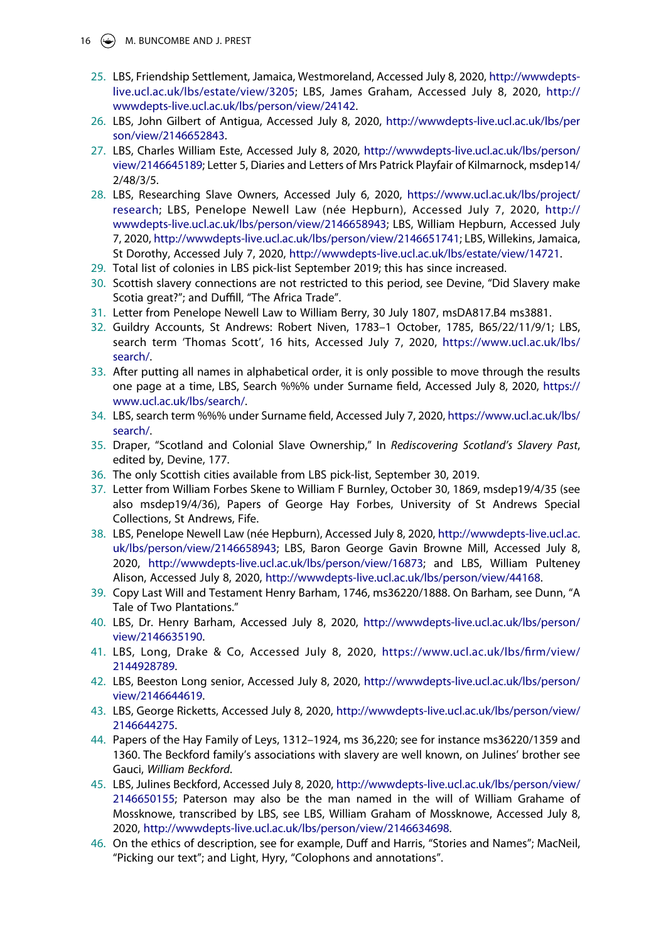16 (C) M. BUNCOMBE AND J. PREST

- <span id="page-16-0"></span>25. LBS, Friendship Settlement, Jamaica, Westmoreland, Accessed July 8, 2020, [http://wwwdepts](http://wwwdepts-live.ucl.ac.uk/lbs/estate/view/3205)[live.ucl.ac.uk/lbs/estate/view/3205](http://wwwdepts-live.ucl.ac.uk/lbs/estate/view/3205); LBS, James Graham, Accessed July 8, 2020, [http://](http://wwwdepts-live.ucl.ac.uk/lbs/person/view/24142) [wwwdepts-live.ucl.ac.uk/lbs/person/view/24142](http://wwwdepts-live.ucl.ac.uk/lbs/person/view/24142).
- <span id="page-16-1"></span>26. LBS, John Gilbert of Antigua, Accessed July 8, 2020, [http://wwwdepts-live.ucl.ac.uk/lbs/per](http://wwwdepts-live.ucl.ac.uk/lbs/person/view/2146652843) [son/view/2146652843.](http://wwwdepts-live.ucl.ac.uk/lbs/person/view/2146652843)
- <span id="page-16-2"></span>27. LBS, Charles William Este, Accessed July 8, 2020, [http://wwwdepts-live.ucl.ac.uk/lbs/person/](http://wwwdepts-live.ucl.ac.uk/lbs/person/view/2146645189) [view/2146645189](http://wwwdepts-live.ucl.ac.uk/lbs/person/view/2146645189); Letter 5, Diaries and Letters of Mrs Patrick Playfair of Kilmarnock, msdep14/ 2/48/3/5.
- <span id="page-16-3"></span>28. LBS, Researching Slave Owners, Accessed July 6, 2020, [https://www.ucl.ac.uk/lbs/project/](https://www.ucl.ac.uk/lbs/project/research) [research;](https://www.ucl.ac.uk/lbs/project/research) LBS, Penelope Newell Law (née Hepburn), Accessed July 7, 2020, [http://](http://wwwdepts-live.ucl.ac.uk/lbs/person/view/2146658943)  [wwwdepts-live.ucl.ac.uk/lbs/person/view/2146658943](http://wwwdepts-live.ucl.ac.uk/lbs/person/view/2146658943); LBS, William Hepburn, Accessed July 7, 2020, <http://wwwdepts-live.ucl.ac.uk/lbs/person/view/2146651741>; LBS, Willekins, Jamaica, St Dorothy, Accessed July 7, 2020, <http://wwwdepts-live.ucl.ac.uk/lbs/estate/view/14721>.
- <span id="page-16-4"></span>29. Total list of colonies in LBS pick-list September 2019; this has since increased.
- <span id="page-16-5"></span>30. Scottish slavery connections are not restricted to this period, see Devine, "Did Slavery make Scotia great?"; and Duffill, "The Africa Trade".
- <span id="page-16-6"></span>31. Letter from Penelope Newell Law to William Berry, 30 July 1807, msDA817.B4 ms3881.
- <span id="page-16-7"></span>32. Guildry Accounts, St Andrews: Robert Niven, 1783–1 October, 1785, B65/22/11/9/1; LBS, search term 'Thomas Scott', 16 hits, Accessed July 7, 2020, [https://www.ucl.ac.uk/lbs/](https://www.ucl.ac.uk/lbs/search/) [search/.](https://www.ucl.ac.uk/lbs/search/)
- <span id="page-16-8"></span>33. After putting all names in alphabetical order, it is only possible to move through the results one page at a time, LBS, Search %%% under Surname field, Accessed July 8, 2020, [https://](https://www.ucl.ac.uk/lbs/search/) [www.ucl.ac.uk/lbs/search/.](https://www.ucl.ac.uk/lbs/search/)
- <span id="page-16-9"></span>34. LBS, search term %%% under Surname field, Accessed July 7, 2020, [https://www.ucl.ac.uk/lbs/](https://www.ucl.ac.uk/lbs/search/) [search/.](https://www.ucl.ac.uk/lbs/search/)
- <span id="page-16-10"></span>35. Draper, "Scotland and Colonial Slave Ownership," In *Rediscovering Scotland's Slavery Past*, edited by, Devine, 177.
- <span id="page-16-11"></span>36. The only Scottish cities available from LBS pick-list, September 30, 2019.
- <span id="page-16-12"></span>37. Letter from William Forbes Skene to William F Burnley, October 30, 1869, msdep19/4/35 (see also msdep19/4/36), Papers of George Hay Forbes, University of St Andrews Special Collections, St Andrews, Fife.
- <span id="page-16-13"></span>38. LBS, Penelope Newell Law (née Hepburn), Accessed July 8, 2020, [http://wwwdepts-live.ucl.ac.](http://wwwdepts-live.ucl.ac.uk/lbs/person/view/2146658943) [uk/lbs/person/view/2146658943](http://wwwdepts-live.ucl.ac.uk/lbs/person/view/2146658943); LBS, Baron George Gavin Browne Mill, Accessed July 8, 2020, [http://wwwdepts-live.ucl.ac.uk/lbs/person/view/16873;](http://wwwdepts-live.ucl.ac.uk/lbs/person/view/16873) and LBS, William Pulteney Alison, Accessed July 8, 2020, <http://wwwdepts-live.ucl.ac.uk/lbs/person/view/44168>.
- <span id="page-16-14"></span>39. Copy Last Will and Testament Henry Barham, 1746, ms36220/1888. On Barham, see Dunn, "A Tale of Two Plantations."
- <span id="page-16-15"></span>40. LBS, Dr. Henry Barham, Accessed July 8, 2020, [http://wwwdepts-live.ucl.ac.uk/lbs/person/](http://wwwdepts-live.ucl.ac.uk/lbs/person/view/2146635190) [view/2146635190](http://wwwdepts-live.ucl.ac.uk/lbs/person/view/2146635190).
- <span id="page-16-16"></span>41. LBS, Long, Drake & Co, Accessed July 8, 2020, [https://www.ucl.ac.uk/lbs/firm/view/](https://www.ucl.ac.uk/lbs/firm/view/2144928789) [2144928789](https://www.ucl.ac.uk/lbs/firm/view/2144928789).
- <span id="page-16-17"></span>42. LBS, Beeston Long senior, Accessed July 8, 2020, [http://wwwdepts-live.ucl.ac.uk/lbs/person/](http://wwwdepts-live.ucl.ac.uk/lbs/person/view/2146644619) [view/2146644619](http://wwwdepts-live.ucl.ac.uk/lbs/person/view/2146644619).
- <span id="page-16-18"></span>43. LBS, George Ricketts, Accessed July 8, 2020, [http://wwwdepts-live.ucl.ac.uk/lbs/person/view/](http://wwwdepts-live.ucl.ac.uk/lbs/person/view/2146644275) [2146644275](http://wwwdepts-live.ucl.ac.uk/lbs/person/view/2146644275).
- <span id="page-16-19"></span>44. Papers of the Hay Family of Leys, 1312–1924, ms 36,220; see for instance ms36220/1359 and 1360. The Beckford family's associations with slavery are well known, on Julines' brother see Gauci, *William Beckford*.
- <span id="page-16-20"></span>45. LBS, Julines Beckford, Accessed July 8, 2020, [http://wwwdepts-live.ucl.ac.uk/lbs/person/view/](http://wwwdepts-live.ucl.ac.uk/lbs/person/view/2146650155) [2146650155](http://wwwdepts-live.ucl.ac.uk/lbs/person/view/2146650155); Paterson may also be the man named in the will of William Grahame of Mossknowe, transcribed by LBS, see LBS, William Graham of Mossknowe, Accessed July 8, 2020, <http://wwwdepts-live.ucl.ac.uk/lbs/person/view/2146634698>.
- <span id="page-16-21"></span>46. On the ethics of description, see for example, Duff and Harris, "Stories and Names"; MacNeil, "Picking our text"; and Light, Hyry, "Colophons and annotations".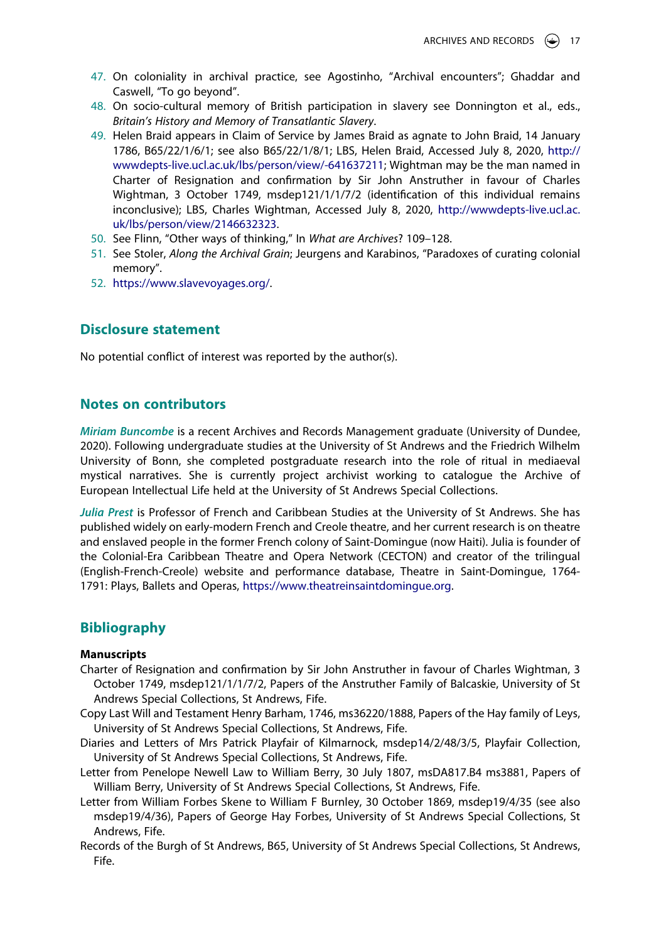- <span id="page-17-0"></span>47. On coloniality in archival practice, see Agostinho, "Archival encounters"; Ghaddar and Caswell, "To go beyond".
- <span id="page-17-1"></span>48. On socio-cultural memory of British participation in slavery see Donnington et al., eds., *Britain's History and Memory of Transatlantic Slavery*.
- <span id="page-17-2"></span>49. Helen Braid appears in Claim of Service by James Braid as agnate to John Braid, 14 January 1786, B65/22/1/6/1; see also B65/22/1/8/1; LBS, Helen Braid, Accessed July 8, 2020, [http://](http://wwwdepts-live.ucl.ac.uk/lbs/person/view/-641637211) [wwwdepts-live.ucl.ac.uk/lbs/person/view/-641637211;](http://wwwdepts-live.ucl.ac.uk/lbs/person/view/-641637211) Wightman may be the man named in Charter of Resignation and confirmation by Sir John Anstruther in favour of Charles Wightman, 3 October 1749, msdep121/1/1/7/2 (identification of this individual remains inconclusive); LBS, Charles Wightman, Accessed July 8, 2020, [http://wwwdepts-live.ucl.ac.](http://wwwdepts-live.ucl.ac.uk/lbs/person/view/2146632323) [uk/lbs/person/view/2146632323](http://wwwdepts-live.ucl.ac.uk/lbs/person/view/2146632323).
- <span id="page-17-3"></span>50. See Flinn, "Other ways of thinking," In *What are Archives*? 109–128.
- <span id="page-17-4"></span>51. See Stoler, *Along the Archival Grain*; Jeurgens and Karabinos, "Paradoxes of curating colonial memory".
- <span id="page-17-5"></span>52. <https://www.slavevoyages.org/>.

# **Disclosure statement**

No potential conflict of interest was reported by the author(s).

# **Notes on contributors**

*Miriam Buncombe* is a recent Archives and Records Management graduate (University of Dundee, 2020). Following undergraduate studies at the University of St Andrews and the Friedrich Wilhelm University of Bonn, she completed postgraduate research into the role of ritual in mediaeval mystical narratives. She is currently project archivist working to catalogue the Archive of European Intellectual Life held at the University of St Andrews Special Collections.

Julia Prest is Professor of French and Caribbean Studies at the University of St Andrews. She has published widely on early-modern French and Creole theatre, and her current research is on theatre and enslaved people in the former French colony of Saint-Domingue (now Haiti). Julia is founder of the Colonial-Era Caribbean Theatre and Opera Network (CECTON) and creator of the trilingual (English-French-Creole) website and performance database, Theatre in Saint-Domingue, 1764- 1791: Plays, Ballets and Operas, https://www.theatreinsaintdomingue.org.

# **Bibliography**

#### **Manuscripts**

- Charter of Resignation and confirmation by Sir John Anstruther in favour of Charles Wightman, 3 October 1749, msdep121/1/1/7/2, Papers of the Anstruther Family of Balcaskie, University of St Andrews Special Collections, St Andrews, Fife.
- Copy Last Will and Testament Henry Barham, 1746, ms36220/1888, Papers of the Hay family of Leys, University of St Andrews Special Collections, St Andrews, Fife.
- Diaries and Letters of Mrs Patrick Playfair of Kilmarnock, msdep14/2/48/3/5, Playfair Collection, University of St Andrews Special Collections, St Andrews, Fife.
- Letter from Penelope Newell Law to William Berry, 30 July 1807, msDA817.B4 ms3881, Papers of William Berry, University of St Andrews Special Collections, St Andrews, Fife.
- Letter from William Forbes Skene to William F Burnley, 30 October 1869, msdep19/4/35 (see also msdep19/4/36), Papers of George Hay Forbes, University of St Andrews Special Collections, St Andrews, Fife.
- Records of the Burgh of St Andrews, B65, University of St Andrews Special Collections, St Andrews, Fife.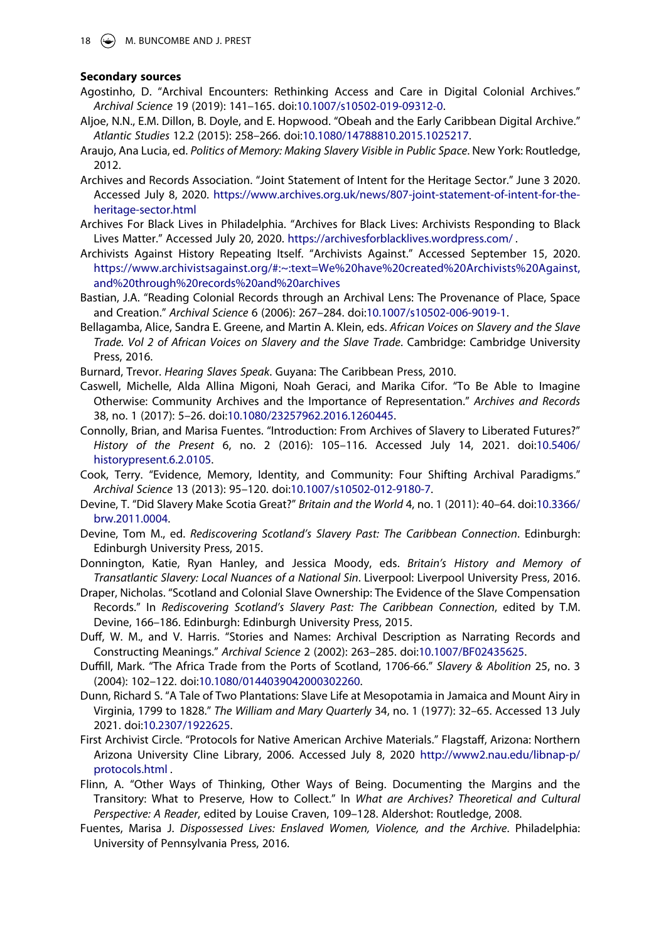#### **Secondary sources**

- Agostinho, D. "Archival Encounters: Rethinking Access and Care in Digital Colonial Archives." *Archival Science* 19 (2019): 141–165. doi:[10.1007/s10502-019-09312-0.](https://doi.org/10.1007/s10502-019-09312-0)
- Aljoe, N.N., E.M. Dillon, B. Doyle, and E. Hopwood. "Obeah and the Early Caribbean Digital Archive." *Atlantic Studies* 12.2 (2015): 258–266. doi:[10.1080/14788810.2015.1025217](https://doi.org/10.1080/14788810.2015.1025217).
- Araujo, Ana Lucia, ed. *Politics of Memory: Making Slavery Visible in Public Space*. New York: Routledge, 2012.
- Archives and Records Association. "Joint Statement of Intent for the Heritage Sector." June 3 2020. Accessed July 8, 2020. [https://www.archives.org.uk/news/807-joint-statement-of-intent-for-the](https://www.archives.org.uk/news/807-joint-statement-of-intent-for-the-heritage-sector.html)[heritage-sector.html](https://www.archives.org.uk/news/807-joint-statement-of-intent-for-the-heritage-sector.html)
- Archives For Black Lives in Philadelphia. "Archives for Black Lives: Archivists Responding to Black Lives Matter." Accessed July 20, 2020. <https://archivesforblacklives.wordpress.com/>.
- Archivists Against History Repeating Itself. "Archivists Against." Accessed September 15, 2020. [https://www.archivistsagainst.org/#:~:text=We%20have%20created%20Archivists%20Against,](https://www.archivistsagainst.org/%23:%7E:text=We%20have%20created%20Archivists%20Against,and%20through%20records%20and%20archives) [and%20through%20records%20and%20archives](https://www.archivistsagainst.org/%23:%7E:text=We%20have%20created%20Archivists%20Against,and%20through%20records%20and%20archives)
- Bastian, J.A. "Reading Colonial Records through an Archival Lens: The Provenance of Place, Space and Creation." *Archival Science* 6 (2006): 267–284. doi:[10.1007/s10502-006-9019-1](https://doi.org/10.1007/s10502-006-9019-1).
- Bellagamba, Alice, Sandra E. Greene, and Martin A. Klein, eds. *African Voices on Slavery and the Slave Trade. Vol 2 of African Voices on Slavery and the Slave Trade*. Cambridge: Cambridge University Press, 2016.
- Burnard, Trevor. *Hearing Slaves Speak*. Guyana: The Caribbean Press, 2010.
- Caswell, Michelle, Alda Allina Migoni, Noah Geraci, and Marika Cifor. "To Be Able to Imagine Otherwise: Community Archives and the Importance of Representation." *Archives and Records*  38, no. 1 (2017): 5–26. doi:[10.1080/23257962.2016.1260445.](https://doi.org/10.1080/23257962.2016.1260445)
- Connolly, Brian, and Marisa Fuentes. "Introduction: From Archives of Slavery to Liberated Futures?" *History of the Present* 6, no. 2 (2016): 105–116. Accessed July 14, 2021. doi:[10.5406/](https://doi.org/10.5406/historypresent.6.2.0105) [historypresent.6.2.0105.](https://doi.org/10.5406/historypresent.6.2.0105)
- Cook, Terry. "Evidence, Memory, Identity, and Community: Four Shifting Archival Paradigms." *Archival Science* 13 (2013): 95–120. doi:[10.1007/s10502-012-9180-7.](https://doi.org/10.1007/s10502-012-9180-7)
- Devine, T. "Did Slavery Make Scotia Great?" *Britain and the World* 4, no. 1 (2011): 40–64. doi:[10.3366/](https://doi.org/10.3366/brw.2011.0004) [brw.2011.0004](https://doi.org/10.3366/brw.2011.0004).
- Devine, Tom M., ed. *Rediscovering Scotland's Slavery Past: The Caribbean Connection*. Edinburgh: Edinburgh University Press, 2015.
- Donnington, Katie, Ryan Hanley, and Jessica Moody, eds. *Britain's History and Memory of Transatlantic Slavery: Local Nuances of a National Sin*. Liverpool: Liverpool University Press, 2016.
- Draper, Nicholas. "Scotland and Colonial Slave Ownership: The Evidence of the Slave Compensation Records." In *Rediscovering Scotland's Slavery Past: The Caribbean Connection*, edited by T.M. Devine, 166–186. Edinburgh: Edinburgh University Press, 2015.
- Duff, W. M., and V. Harris. "Stories and Names: Archival Description as Narrating Records and Constructing Meanings." *Archival Science* 2 (2002): 263–285. doi:[10.1007/BF02435625.](https://doi.org/10.1007/BF02435625)
- Duffill, Mark. "The Africa Trade from the Ports of Scotland, 1706-66." *Slavery & Abolition* 25, no. 3 (2004): 102–122. doi:[10.1080/0144039042000302260.](https://doi.org/10.1080/0144039042000302260)
- Dunn, Richard S. "A Tale of Two Plantations: Slave Life at Mesopotamia in Jamaica and Mount Airy in Virginia, 1799 to 1828." *The William and Mary Quarterly* 34, no. 1 (1977): 32–65. Accessed 13 July 2021. doi:[10.2307/1922625.](https://doi.org/10.2307/1922625)
- First Archivist Circle. "Protocols for Native American Archive Materials." Flagstaff, Arizona: Northern Arizona University Cline Library, 2006. Accessed July 8, 2020 [http://www2.nau.edu/libnap-p/](http://www2.nau.edu/libnap-p/protocols.html) [protocols.html](http://www2.nau.edu/libnap-p/protocols.html) .
- Flinn, A. "Other Ways of Thinking, Other Ways of Being. Documenting the Margins and the Transitory: What to Preserve, How to Collect." In *What are Archives? Theoretical and Cultural Perspective: A Reader*, edited by Louise Craven, 109–128. Aldershot: Routledge, 2008.
- Fuentes, Marisa J. *Dispossessed Lives: Enslaved Women, Violence, and the Archive*. Philadelphia: University of Pennsylvania Press, 2016.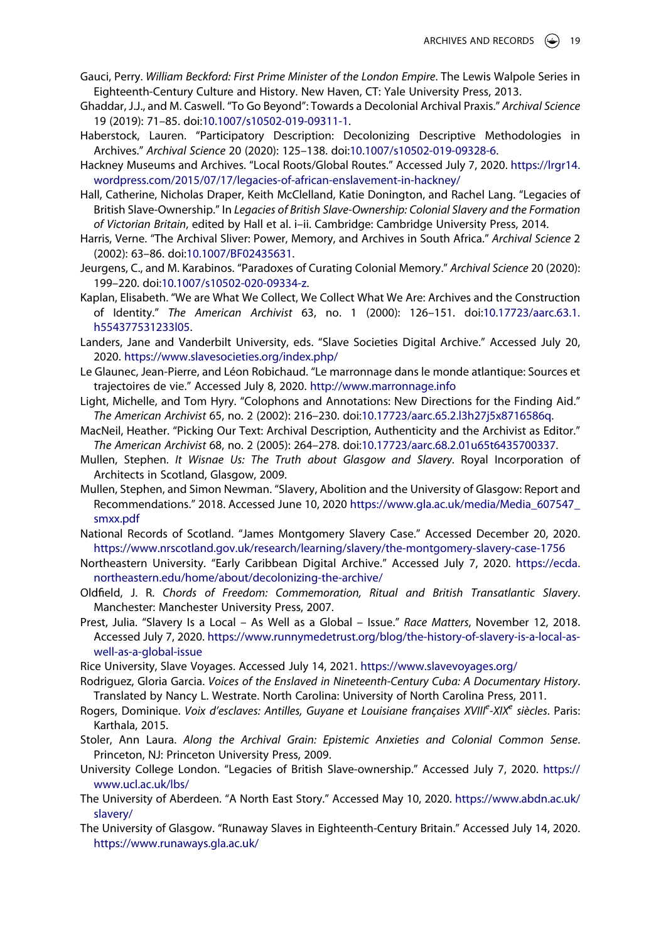- Gauci, Perry. *William Beckford: First Prime Minister of the London Empire*. The Lewis Walpole Series in Eighteenth-Century Culture and History. New Haven, CT: Yale University Press, 2013.
- Ghaddar, J.J., and M. Caswell. "To Go Beyond": Towards a Decolonial Archival Praxis." *Archival Science*  19 (2019): 71–85. doi:[10.1007/s10502-019-09311-1](https://doi.org/10.1007/s10502-019-09311-1).
- Haberstock, Lauren. "Participatory Description: Decolonizing Descriptive Methodologies in Archives." *Archival Science* 20 (2020): 125–138. doi:[10.1007/s10502-019-09328-6](https://doi.org/10.1007/s10502-019-09328-6).
- Hackney Museums and Archives. "Local Roots/Global Routes." Accessed July 7, 2020. [https://lrgr14.](https://lrgr14.wordpress.com/2015/07/17/legacies-of-african-enslavement-in-hackney/) [wordpress.com/2015/07/17/legacies-of-african-enslavement-in-hackney/](https://lrgr14.wordpress.com/2015/07/17/legacies-of-african-enslavement-in-hackney/)
- Hall, Catherine, Nicholas Draper, Keith McClelland, Katie Donington, and Rachel Lang. "Legacies of British Slave-Ownership." In *Legacies of British Slave-Ownership: Colonial Slavery and the Formation of Victorian Britain*, edited by Hall et al. i–ii. Cambridge: Cambridge University Press, 2014.
- Harris, Verne. "The Archival Sliver: Power, Memory, and Archives in South Africa." *Archival Science* 2 (2002): 63–86. doi:[10.1007/BF02435631](https://doi.org/10.1007/BF02435631).
- Jeurgens, C., and M. Karabinos. "Paradoxes of Curating Colonial Memory." *Archival Science* 20 (2020): 199–220. doi:[10.1007/s10502-020-09334-z.](https://doi.org/10.1007/s10502-020-09334-z)
- Kaplan, Elisabeth. "We are What We Collect, We Collect What We Are: Archives and the Construction of Identity." *The American Archivist* 63, no. 1 (2000): 126–151. doi:[10.17723/aarc.63.1.](https://doi.org/10.17723/aarc.63.1.h554377531233l05) [h554377531233l05.](https://doi.org/10.17723/aarc.63.1.h554377531233l05)
- Landers, Jane and Vanderbilt University, eds. "Slave Societies Digital Archive." Accessed July 20, 2020. <https://www.slavesocieties.org/index.php/>
- Le Glaunec, Jean-Pierre, and Léon Robichaud. "Le marronnage dans le monde atlantique: Sources et trajectoires de vie." Accessed July 8, 2020. <http://www.marronnage.info>
- Light, Michelle, and Tom Hyry. "Colophons and Annotations: New Directions for the Finding Aid." *The American Archivist* 65, no. 2 (2002): 216–230. doi:[10.17723/aarc.65.2.l3h27j5x8716586q.](https://doi.org/10.17723/aarc.65.2.l3h27j5x8716586q)
- MacNeil, Heather. "Picking Our Text: Archival Description, Authenticity and the Archivist as Editor." *The American Archivist* 68, no. 2 (2005): 264–278. doi:[10.17723/aarc.68.2.01u65t6435700337.](https://doi.org/10.17723/aarc.68.2.01u65t6435700337)
- Mullen, Stephen. *It Wisnae Us: The Truth about Glasgow and Slavery*. Royal Incorporation of Architects in Scotland, Glasgow, 2009.
- Mullen, Stephen, and Simon Newman. "Slavery, Abolition and the University of Glasgow: Report and Recommendations." 2018. Accessed June 10, 2020 [https://www.gla.ac.uk/media/Media\\_607547\\_](https://www.gla.ac.uk/media/Media_607547_smxx.pdf) [smxx.pdf](https://www.gla.ac.uk/media/Media_607547_smxx.pdf)
- National Records of Scotland. "James Montgomery Slavery Case." Accessed December 20, 2020. <https://www.nrscotland.gov.uk/research/learning/slavery/the-montgomery-slavery-case-1756>
- Northeastern University. "Early Caribbean Digital Archive." Accessed July 7, 2020. [https://ecda.](https://ecda.northeastern.edu/home/about/decolonizing-the-archive/) [northeastern.edu/home/about/decolonizing-the-archive/](https://ecda.northeastern.edu/home/about/decolonizing-the-archive/)
- Oldfield, J. R. *Chords of Freedom: Commemoration, Ritual and British Transatlantic Slavery*. Manchester: Manchester University Press, 2007.
- Prest, Julia. "Slavery Is a Local As Well as a Global Issue." *Race Matters*, November 12, 2018. Accessed July 7, 2020. [https://www.runnymedetrust.org/blog/the-history-of-slavery-is-a-local-as](https://www.runnymedetrust.org/blog/the-history-of-slavery-is-a-local-as-well-as-a-global-issue)[well-as-a-global-issue](https://www.runnymedetrust.org/blog/the-history-of-slavery-is-a-local-as-well-as-a-global-issue)
- Rice University, Slave Voyages. Accessed July 14, 2021. <https://www.slavevoyages.org/>
- Rodriguez, Gloria Garcia. *Voices of the Enslaved in Nineteenth-Century Cuba: A Documentary History*. Translated by Nancy L. Westrate. North Carolina: University of North Carolina Press, 2011.
- Rogers, Dominique. Voix d'esclaves: Antilles, Guyane et Louisiane françaises XVIII<sup>e</sup>-XIX<sup>e</sup> siècles. Paris: Karthala, 2015.
- Stoler, Ann Laura. *Along the Archival Grain: Epistemic Anxieties and Colonial Common Sense*. Princeton, NJ: Princeton University Press, 2009.
- University College London. "Legacies of British Slave-ownership." Accessed July 7, 2020. [https://](https://www.ucl.ac.uk/lbs/) [www.ucl.ac.uk/lbs/](https://www.ucl.ac.uk/lbs/)
- The University of Aberdeen. "A North East Story." Accessed May 10, 2020. [https://www.abdn.ac.uk/](https://www.abdn.ac.uk/slavery/) [slavery/](https://www.abdn.ac.uk/slavery/)
- The University of Glasgow. "Runaway Slaves in Eighteenth-Century Britain." Accessed July 14, 2020. <https://www.runaways.gla.ac.uk/>